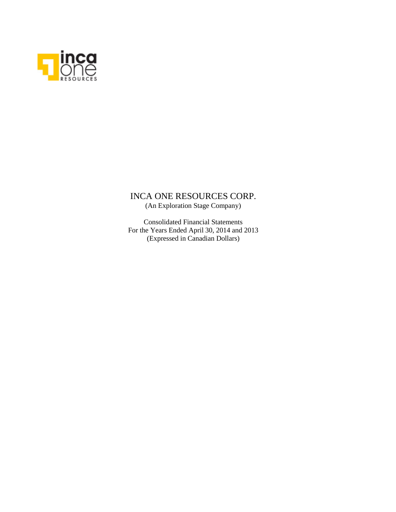

# INCA ONE RESOURCES CORP. (An Exploration Stage Company)

Consolidated Financial Statements For the Years Ended April 30, 2014 and 2013 (Expressed in Canadian Dollars)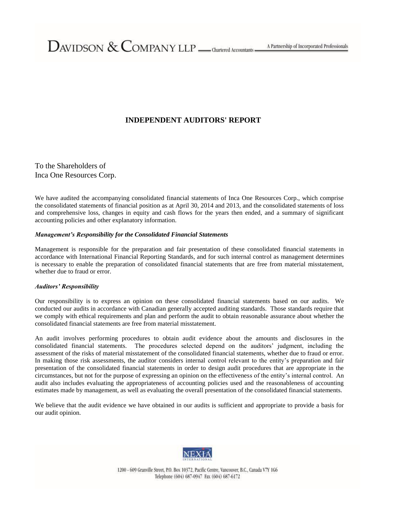# DAVIDSON & COMPANY LLP \_ Chartered Accountants

### **INDEPENDENT AUDITORS' REPORT**

To the Shareholders of Inca One Resources Corp.

We have audited the accompanying consolidated financial statements of Inca One Resources Corp., which comprise the consolidated statements of financial position as at April 30, 2014 and 2013, and the consolidated statements of loss and comprehensive loss, changes in equity and cash flows for the years then ended, and a summary of significant accounting policies and other explanatory information.

#### *Management's Responsibility for the Consolidated Financial Statements*

Management is responsible for the preparation and fair presentation of these consolidated financial statements in accordance with International Financial Reporting Standards, and for such internal control as management determines is necessary to enable the preparation of consolidated financial statements that are free from material misstatement, whether due to fraud or error.

#### *Auditors' Responsibility*

Our responsibility is to express an opinion on these consolidated financial statements based on our audits. We conducted our audits in accordance with Canadian generally accepted auditing standards. Those standards require that we comply with ethical requirements and plan and perform the audit to obtain reasonable assurance about whether the consolidated financial statements are free from material misstatement.

An audit involves performing procedures to obtain audit evidence about the amounts and disclosures in the consolidated financial statements. The procedures selected depend on the auditors' judgment, including the assessment of the risks of material misstatement of the consolidated financial statements, whether due to fraud or error. In making those risk assessments, the auditor considers internal control relevant to the entity's preparation and fair presentation of the consolidated financial statements in order to design audit procedures that are appropriate in the circumstances, but not for the purpose of expressing an opinion on the effectiveness of the entity's internal control. An audit also includes evaluating the appropriateness of accounting policies used and the reasonableness of accounting estimates made by management, as well as evaluating the overall presentation of the consolidated financial statements.

We believe that the audit evidence we have obtained in our audits is sufficient and appropriate to provide a basis for our audit opinion.



1200 - 609 Granville Street, P.O. Box 10372, Pacific Centre, Vancouver, B.C., Canada V7Y 1G6 Telephone (604) 687-0947 Fax (604) 687-6172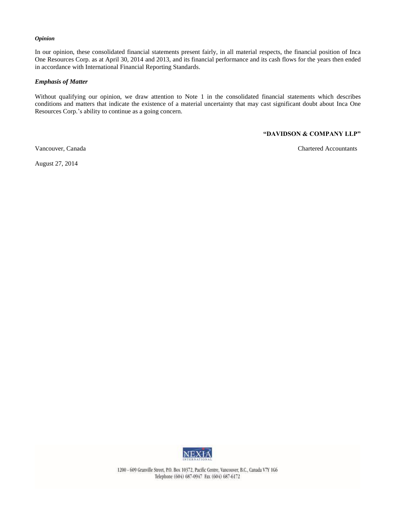#### *Opinion*

In our opinion, these consolidated financial statements present fairly, in all material respects, the financial position of Inca One Resources Corp. as at April 30, 2014 and 2013, and its financial performance and its cash flows for the years then ended in accordance with International Financial Reporting Standards.

#### *Emphasis of Matter*

Without qualifying our opinion, we draw attention to Note 1 in the consolidated financial statements which describes conditions and matters that indicate the existence of a material uncertainty that may cast significant doubt about Inca One Resources Corp.'s ability to continue as a going concern.

#### **"DAVIDSON & COMPANY LLP"**

Vancouver, Canada Chartered Accountants

August 27, 2014



1200 - 609 Granville Street, P.O. Box 10372, Pacific Centre, Vancouver, B.C., Canada V7Y 1G6 Telephone (604) 687-0947 Fax (604) 687-6172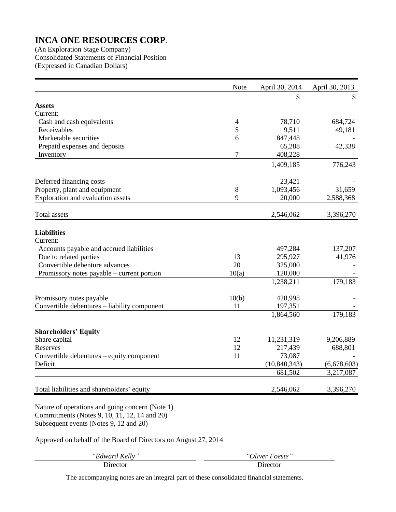(An Exploration Stage Company) Consolidated Statements of Financial Position (Expressed in Canadian Dollars)

|                                                                                                                                           | Note           | April 30, 2014 | April 30, 2013 |
|-------------------------------------------------------------------------------------------------------------------------------------------|----------------|----------------|----------------|
|                                                                                                                                           |                | \$             | \$             |
| <b>Assets</b>                                                                                                                             |                |                |                |
| Current:                                                                                                                                  |                |                |                |
| Cash and cash equivalents                                                                                                                 | $\overline{4}$ | 78,710         | 684,724        |
| Receivables                                                                                                                               | 5              | 9,511          | 49,181         |
| Marketable securities                                                                                                                     | 6              | 847,448        |                |
| Prepaid expenses and deposits                                                                                                             |                | 65,288         | 42,338         |
| Inventory                                                                                                                                 | 7              | 408,228        |                |
|                                                                                                                                           |                | 1,409,185      | 776,243        |
| Deferred financing costs                                                                                                                  |                | 23,421         |                |
| Property, plant and equipment                                                                                                             | 8              | 1,093,456      | 31,659         |
| Exploration and evaluation assets                                                                                                         | 9              | 20,000         | 2,588,368      |
| <b>Total</b> assets                                                                                                                       |                | 2,546,062      | 3,396,270      |
| <b>Liabilities</b>                                                                                                                        |                |                |                |
| Current:                                                                                                                                  |                |                |                |
| Accounts payable and accrued liabilities                                                                                                  |                | 497,284        | 137,207        |
| Due to related parties                                                                                                                    | 13             | 295,927        | 41,976         |
| Convertible debenture advances                                                                                                            | 20             | 325,000        |                |
| Promissory notes payable – current portion                                                                                                | 10(a)          | 120,000        |                |
|                                                                                                                                           |                | 1,238,211      | 179,183        |
| Promissory notes payable                                                                                                                  | 10(b)          | 428,998        |                |
| Convertible debentures - liability component                                                                                              | 11             | 197,351        |                |
|                                                                                                                                           |                | 1,864,560      | 179,183        |
| <b>Shareholders' Equity</b>                                                                                                               |                |                |                |
| Share capital                                                                                                                             | 12             | 11,231,319     | 9,206,889      |
| Reserves                                                                                                                                  | 12             | 217,439        | 688,801        |
| Convertible debentures – equity component                                                                                                 | 11             | 73,087         |                |
| Deficit                                                                                                                                   |                | (10, 840, 343) | (6,678,603)    |
|                                                                                                                                           |                | 681,502        | 3,217,087      |
| Total liabilities and shareholders' equity                                                                                                |                | 2,546,062      | 3,396,270      |
| Nature of operations and going concern (Note 1)<br>Commitments (Notes 9, 10, 11, 12, 14 and 20)<br>Subsequent events (Notes 9, 12 and 20) |                |                |                |

Approved on behalf of the Board of Directors on August 27, 2014

| u Kelly"<br>$``\mathbf{\Gamma}$<br>Award) | "Oliver $\Gamma$ .<br>Foeste |
|-------------------------------------------|------------------------------|
| Jirector                                  | Jirector                     |
| .                                         | .                            |

The accompanying notes are an integral part of these consolidated financial statements.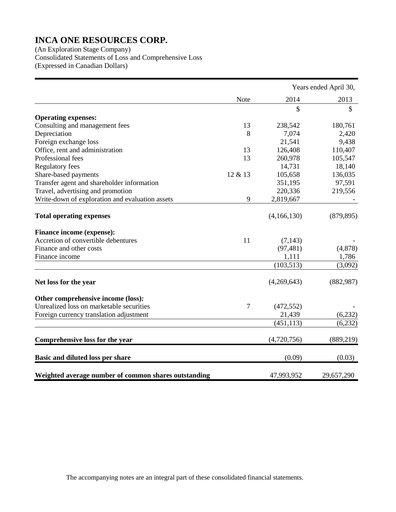(An Exploration Stage Company) Consolidated Statements of Loss and Comprehensive Loss (Expressed in Canadian Dollars)

|                                                      |         |             | Years ended April 30, |
|------------------------------------------------------|---------|-------------|-----------------------|
|                                                      | Note    | 2014        | 2013                  |
|                                                      |         | \$          | \$                    |
| <b>Operating expenses:</b>                           |         |             |                       |
| Consulting and management fees                       | 13      | 238,542     | 180,761               |
| Depreciation                                         | 8       | 7,074       | 2,420                 |
| Foreign exchange loss                                |         | 21,541      | 9,438                 |
| Office, rent and administration                      | 13      | 126,408     | 110,407               |
| Professional fees                                    | 13      | 260,978     | 105,547               |
| <b>Regulatory fees</b>                               |         | 14,731      | 18,140                |
| Share-based payments                                 | 12 & 13 | 105,658     | 136,035               |
| Transfer agent and shareholder information           |         | 351,195     | 97,591                |
| Travel, advertising and promotion                    |         | 220,336     | 219,556               |
| Write-down of exploration and evaluation assets      | 9       | 2,819,667   |                       |
| <b>Total operating expenses</b>                      |         | (4,166,130) | (879, 895)            |
| Finance income (expense):                            |         |             |                       |
| Accretion of convertible debentures                  | 11      | (7, 143)    |                       |
| Finance and other costs                              |         | (97, 481)   | (4,878)               |
| Finance income                                       |         | 1,111       | 1,786                 |
|                                                      |         | (103, 513)  | (3,092)               |
| Net loss for the year                                |         | (4,269,643) | (882,987)             |
| Other comprehensive income (loss):                   |         |             |                       |
| Unrealized loss on marketable securities             | 7       | (472, 552)  |                       |
| Foreign currency translation adjustment              |         | 21,439      | (6,232)               |
|                                                      |         | (451, 113)  | (6,232)               |
| Comprehensive loss for the year                      |         | (4,720,756) | (889, 219)            |
| Basic and diluted loss per share                     |         | (0.09)      | (0.03)                |
| Weighted average number of common shares outstanding |         | 47,993,952  | 29,657,290            |

The accompanying notes are an integral part of these consolidated financial statements.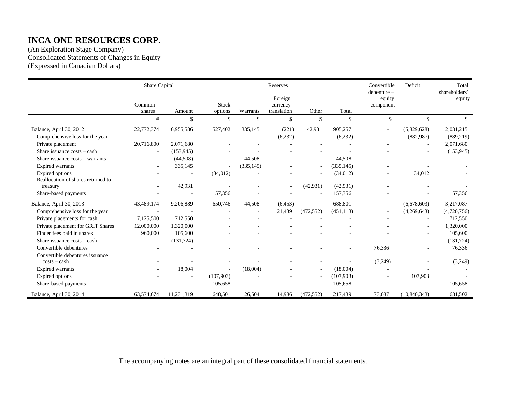(An Exploration Stage Company) Consolidated Statements of Changes in Equity (Expressed in Canadian Dollars)

|                                    | Share Capital    |              |                  |                          | Reserves                           |                          |            | Convertible                             | Deficit        | Total                   |
|------------------------------------|------------------|--------------|------------------|--------------------------|------------------------------------|--------------------------|------------|-----------------------------------------|----------------|-------------------------|
|                                    | Common<br>shares | Amount       | Stock<br>options | Warrants                 | Foreign<br>currency<br>translation | Other                    | Total      | $debe$ nture $-$<br>equity<br>component |                | shareholders'<br>equity |
|                                    | #                | $\mathbb{S}$ | \$               | \$                       | \$                                 | $\mathsf{\$}$            | \$         | \$                                      | \$             | \$                      |
| Balance, April 30, 2012            | 22,772,374       | 6,955,586    | 527,402          | 335,145                  | (221)                              | 42,931                   | 905,257    |                                         | (5,829,628)    | 2,031,215               |
| Comprehensive loss for the year    |                  |              |                  | $\overline{\phantom{a}}$ | (6,232)                            | $\sim$                   | (6,232)    |                                         | (882,987)      | (889, 219)              |
| Private placement                  | 20,716,800       | 2,071,680    |                  |                          |                                    |                          |            |                                         | $\equiv$       | 2,071,680               |
| Share issuance costs - cash        |                  | (153, 945)   |                  |                          |                                    |                          |            |                                         |                | (153, 945)              |
| Share issuance costs – warrants    |                  | (44,508)     |                  | 44,508                   |                                    | $\overline{a}$           | 44,508     |                                         |                |                         |
| Expired warrants                   |                  | 335,145      |                  | (335, 145)               |                                    | $\overline{\phantom{a}}$ | (335, 145) |                                         |                |                         |
| Expired options                    |                  | ÷            | (34, 012)        |                          |                                    | $\overline{\phantom{a}}$ | (34, 012)  | $\sim$                                  | 34,012         |                         |
| Reallocation of shares returned to |                  |              |                  |                          |                                    |                          |            |                                         |                |                         |
| treasury                           |                  | 42,931       |                  |                          | ٠                                  | (42, 931)                | (42, 931)  |                                         |                |                         |
| Share-based payments               |                  |              | 157,356          |                          |                                    | $\overline{\phantom{a}}$ | 157,356    |                                         |                | 157,356                 |
| Balance, April 30, 2013            | 43,489,174       | 9,206,889    | 650,746          | 44,508                   | (6, 453)                           | $\sim$                   | 688,801    | $\overline{\phantom{a}}$                | (6,678,603)    | 3,217,087               |
| Comprehensive loss for the year    |                  |              |                  |                          | 21,439                             | (472, 552)               | (451, 113) | $\overline{\phantom{a}}$                | (4,269,643)    | (4,720,756)             |
| Private placements for cash        | 7,125,500        | 712,550      |                  |                          |                                    |                          |            |                                         |                | 712,550                 |
| Private placement for GRIT Shares  | 12,000,000       | 1,320,000    |                  |                          |                                    |                          |            |                                         |                | 1,320,000               |
| Finder fees paid in shares         | 960,000          | 105,600      |                  |                          |                                    |                          |            |                                         |                | 105,600                 |
| Share issuance costs – cash        |                  | (131, 724)   |                  |                          |                                    |                          |            |                                         |                | (131, 724)              |
| Convertible debentures             |                  |              |                  |                          |                                    |                          |            | 76,336                                  |                | 76,336                  |
| Convertible debentures issuance    |                  |              |                  |                          |                                    |                          |            |                                         |                |                         |
| $costs - cash$                     |                  |              |                  |                          |                                    |                          |            | (3,249)                                 |                | (3,249)                 |
| <b>Expired warrants</b>            |                  | 18,004       |                  | (18,004)                 |                                    |                          | (18,004)   |                                         |                |                         |
| Expired options                    |                  | $\sim$       | (107,903)        |                          |                                    | $\overline{\phantom{a}}$ | (107,903)  |                                         | 107,903        |                         |
| Share-based payments               |                  |              | 105,658          |                          |                                    |                          | 105,658    |                                         |                | 105,658                 |
| Balance, April 30, 2014            | 63,574,674       | 11,231,319   | 648,501          | 26,504                   | 14,986                             | (472, 552)               | 217,439    | 73,087                                  | (10, 840, 343) | 681,502                 |

The accompanying notes are an integral part of these consolidated financial statements.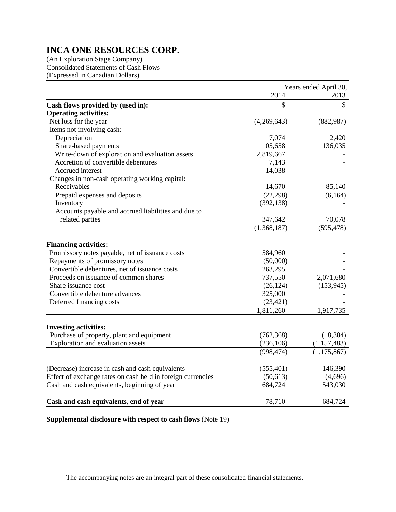(An Exploration Stage Company) Consolidated Statements of Cash Flows (Expressed in Canadian Dollars)

|                                                             | Years ended April 30, |                    |  |
|-------------------------------------------------------------|-----------------------|--------------------|--|
|                                                             | 2014                  | 2013               |  |
| Cash flows provided by (used in):                           | \$                    | $\mathbf{\hat{S}}$ |  |
| <b>Operating activities:</b>                                |                       |                    |  |
| Net loss for the year                                       | (4,269,643)           | (882,987)          |  |
| Items not involving cash:                                   |                       |                    |  |
| Depreciation                                                | 7,074                 | 2,420              |  |
| Share-based payments                                        | 105,658               | 136,035            |  |
| Write-down of exploration and evaluation assets             | 2,819,667             |                    |  |
| Accretion of convertible debentures                         | 7,143                 |                    |  |
| <b>Accrued</b> interest                                     | 14,038                |                    |  |
| Changes in non-cash operating working capital:              |                       |                    |  |
| Receivables                                                 | 14,670                | 85,140             |  |
| Prepaid expenses and deposits                               | (22, 298)             | (6,164)            |  |
| Inventory                                                   | (392, 138)            |                    |  |
| Accounts payable and accrued liabilities and due to         |                       |                    |  |
| related parties                                             | 347,642               | 70,078             |  |
|                                                             | (1,368,187)           | (595, 478)         |  |
|                                                             |                       |                    |  |
| <b>Financing activities:</b>                                |                       |                    |  |
| Promissory notes payable, net of issuance costs             | 584,960               |                    |  |
| Repayments of promissory notes                              | (50,000)              |                    |  |
| Convertible debentures, net of issuance costs               | 263,295               |                    |  |
| Proceeds on issuance of common shares                       | 737,550               | 2,071,680          |  |
| Share issuance cost                                         | (26, 124)             | (153, 945)         |  |
| Convertible debenture advances                              | 325,000               |                    |  |
| Deferred financing costs                                    | (23, 421)             |                    |  |
|                                                             | 1,811,260             | 1,917,735          |  |
|                                                             |                       |                    |  |
| <b>Investing activities:</b>                                |                       |                    |  |
| Purchase of property, plant and equipment                   | (762, 368)            | (18, 384)          |  |
| Exploration and evaluation assets                           | (236, 106)            | (1,157,483)        |  |
|                                                             | (998, 474)            | (1,175,867)        |  |
|                                                             |                       |                    |  |
| (Decrease) increase in cash and cash equivalents            | (555, 401)            | 146,390            |  |
| Effect of exchange rates on cash held in foreign currencies | (50,613)              | (4,696)            |  |
| Cash and cash equivalents, beginning of year                | 684,724               | 543,030            |  |
|                                                             |                       |                    |  |
| Cash and cash equivalents, end of year                      | 78,710                | 684,724            |  |

**Supplemental disclosure with respect to cash flows** (Note 19)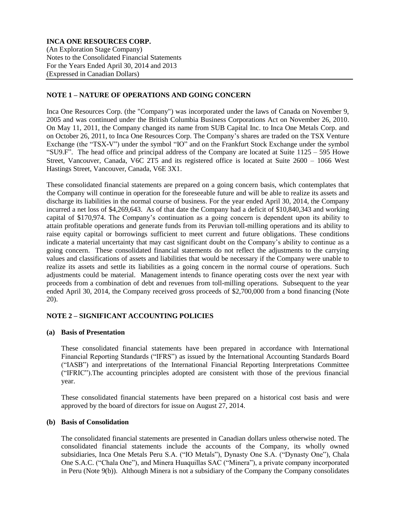(An Exploration Stage Company) Notes to the Consolidated Financial Statements For the Years Ended April 30, 2014 and 2013 (Expressed in Canadian Dollars)

### **NOTE 1 – NATURE OF OPERATIONS AND GOING CONCERN**

Inca One Resources Corp. (the "Company") was incorporated under the laws of Canada on November 9, 2005 and was continued under the British Columbia Business Corporations Act on November 26, 2010. On May 11, 2011, the Company changed its name from SUB Capital Inc. to Inca One Metals Corp. and on October 26, 2011, to Inca One Resources Corp. The Company's shares are traded on the TSX Venture Exchange (the "TSX-V") under the symbol "IO" and on the Frankfurt Stock Exchange under the symbol "SU9.F". The head office and principal address of the Company are located at Suite 1125 – 595 Howe Street, Vancouver, Canada, V6C 2T5 and its registered office is located at Suite 2600 – 1066 West Hastings Street, Vancouver, Canada, V6E 3X1.

These consolidated financial statements are prepared on a going concern basis, which contemplates that the Company will continue in operation for the foreseeable future and will be able to realize its assets and discharge its liabilities in the normal course of business. For the year ended April 30, 2014, the Company incurred a net loss of \$4,269,643. As of that date the Company had a deficit of \$10,840,343 and working capital of \$170,974. The Company's continuation as a going concern is dependent upon its ability to attain profitable operations and generate funds from its Peruvian toll-milling operations and its ability to raise equity capital or borrowings sufficient to meet current and future obligations. These conditions indicate a material uncertainty that may cast significant doubt on the Company's ability to continue as a going concern. These consolidated financial statements do not reflect the adjustments to the carrying values and classifications of assets and liabilities that would be necessary if the Company were unable to realize its assets and settle its liabilities as a going concern in the normal course of operations. Such adjustments could be material. Management intends to finance operating costs over the next year with proceeds from a combination of debt and revenues from toll-milling operations. Subsequent to the year ended April 30, 2014, the Company received gross proceeds of \$2,700,000 from a bond financing (Note 20).

### **NOTE 2 – SIGNIFICANT ACCOUNTING POLICIES**

### **(a) Basis of Presentation**

These consolidated financial statements have been prepared in accordance with International Financial Reporting Standards ("IFRS") as issued by the International Accounting Standards Board ("IASB") and interpretations of the International Financial Reporting Interpretations Committee ("IFRIC").The accounting principles adopted are consistent with those of the previous financial year.

These consolidated financial statements have been prepared on a historical cost basis and were approved by the board of directors for issue on August 27, 2014.

#### **(b) Basis of Consolidation**

The consolidated financial statements are presented in Canadian dollars unless otherwise noted. The consolidated financial statements include the accounts of the Company, its wholly owned subsidiaries, Inca One Metals Peru S.A. ("IO Metals"), Dynasty One S.A. ("Dynasty One"), Chala One S.A.C. ("Chala One"), and Minera Huaquillas SAC ("Minera"), a private company incorporated in Peru (Note 9(b)). Although Minera is not a subsidiary of the Company the Company consolidates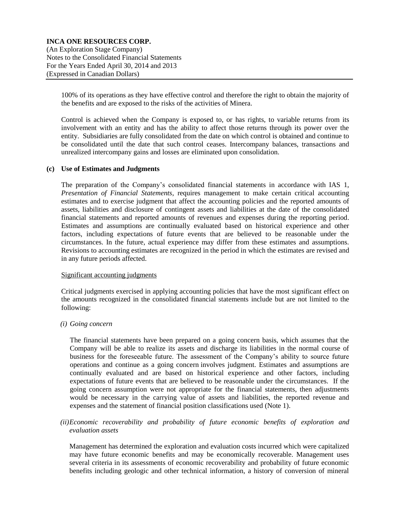(An Exploration Stage Company) Notes to the Consolidated Financial Statements For the Years Ended April 30, 2014 and 2013 (Expressed in Canadian Dollars)

> 100% of its operations as they have effective control and therefore the right to obtain the majority of the benefits and are exposed to the risks of the activities of Minera.

> Control is achieved when the Company is exposed to, or has rights, to variable returns from its involvement with an entity and has the ability to affect those returns through its power over the entity. Subsidiaries are fully consolidated from the date on which control is obtained and continue to be consolidated until the date that such control ceases. Intercompany balances, transactions and unrealized intercompany gains and losses are eliminated upon consolidation.

#### **(c) Use of Estimates and Judgments**

The preparation of the Company's consolidated financial statements in accordance with IAS 1, *Presentation of Financial Statements*, requires management to make certain critical accounting estimates and to exercise judgment that affect the accounting policies and the reported amounts of assets, liabilities and disclosure of contingent assets and liabilities at the date of the consolidated financial statements and reported amounts of revenues and expenses during the reporting period. Estimates and assumptions are continually evaluated based on historical experience and other factors, including expectations of future events that are believed to be reasonable under the circumstances. In the future, actual experience may differ from these estimates and assumptions. Revisions to accounting estimates are recognized in the period in which the estimates are revised and in any future periods affected.

#### Significant accounting judgments

Critical judgments exercised in applying accounting policies that have the most significant effect on the amounts recognized in the consolidated financial statements include but are not limited to the following:

*(i) Going concern*

The financial statements have been prepared on a going concern basis, which assumes that the Company will be able to realize its assets and discharge its liabilities in the normal course of business for the foreseeable future. The assessment of the Company's ability to source future operations and continue as a going concern involves judgment. Estimates and assumptions are continually evaluated and are based on historical experience and other factors, including expectations of future events that are believed to be reasonable under the circumstances. If the going concern assumption were not appropriate for the financial statements, then adjustments would be necessary in the carrying value of assets and liabilities, the reported revenue and expenses and the statement of financial position classifications used (Note 1).

*(ii)Economic recoverability and probability of future economic benefits of exploration and evaluation assets*

Management has determined the exploration and evaluation costs incurred which were capitalized may have future economic benefits and may be economically recoverable. Management uses several criteria in its assessments of economic recoverability and probability of future economic benefits including geologic and other technical information, a history of conversion of mineral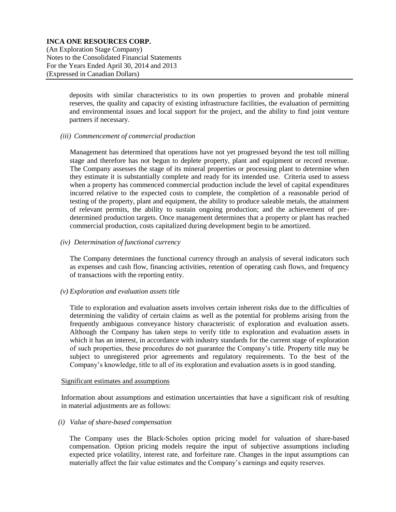(An Exploration Stage Company) Notes to the Consolidated Financial Statements For the Years Ended April 30, 2014 and 2013 (Expressed in Canadian Dollars)

> deposits with similar characteristics to its own properties to proven and probable mineral reserves, the quality and capacity of existing infrastructure facilities, the evaluation of permitting and environmental issues and local support for the project, and the ability to find joint venture partners if necessary.

#### *(iii) Commencement of commercial production*

Management has determined that operations have not yet progressed beyond the test toll milling stage and therefore has not begun to deplete property, plant and equipment or record revenue. The Company assesses the stage of its mineral properties or processing plant to determine when they estimate it is substantially complete and ready for its intended use. Criteria used to assess when a property has commenced commercial production include the level of capital expenditures incurred relative to the expected costs to complete, the completion of a reasonable period of testing of the property, plant and equipment, the ability to produce saleable metals, the attainment of relevant permits, the ability to sustain ongoing production; and the achievement of predetermined production targets. Once management determines that a property or plant has reached commercial production, costs capitalized during development begin to be amortized.

#### *(iv) Determination of functional currency*

The Company determines the functional currency through an analysis of several indicators such as expenses and cash flow, financing activities, retention of operating cash flows, and frequency of transactions with the reporting entity.

### *(v) Exploration and evaluation assets title*

Title to exploration and evaluation assets involves certain inherent risks due to the difficulties of determining the validity of certain claims as well as the potential for problems arising from the frequently ambiguous conveyance history characteristic of exploration and evaluation assets. Although the Company has taken steps to verify title to exploration and evaluation assets in which it has an interest, in accordance with industry standards for the current stage of exploration of such properties, these procedures do not guarantee the Company's title. Property title may be subject to unregistered prior agreements and regulatory requirements. To the best of the Company's knowledge, title to all of its exploration and evaluation assets is in good standing.

#### Significant estimates and assumptions

Information about assumptions and estimation uncertainties that have a significant risk of resulting in material adjustments are as follows:

#### *(i) Value of share-based compensation*

The Company uses the Black-Scholes option pricing model for valuation of share-based compensation. Option pricing models require the input of subjective assumptions including expected price volatility, interest rate, and forfeiture rate. Changes in the input assumptions can materially affect the fair value estimates and the Company's earnings and equity reserves.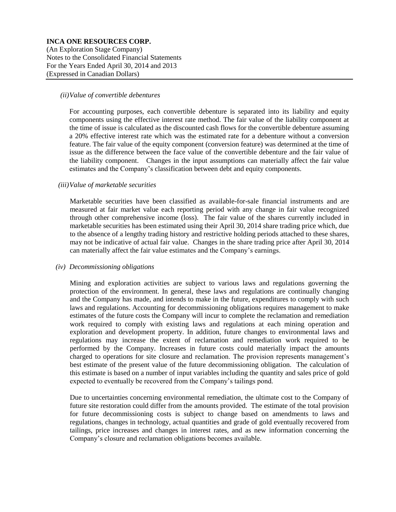(An Exploration Stage Company) Notes to the Consolidated Financial Statements For the Years Ended April 30, 2014 and 2013 (Expressed in Canadian Dollars)

#### *(ii)Value of convertible debentures*

For accounting purposes, each convertible debenture is separated into its liability and equity components using the effective interest rate method. The fair value of the liability component at the time of issue is calculated as the discounted cash flows for the convertible debenture assuming a 20% effective interest rate which was the estimated rate for a debenture without a conversion feature. The fair value of the equity component (conversion feature) was determined at the time of issue as the difference between the face value of the convertible debenture and the fair value of the liability component. Changes in the input assumptions can materially affect the fair value estimates and the Company's classification between debt and equity components.

### *(iii)Value of marketable securities*

Marketable securities have been classified as available-for-sale financial instruments and are measured at fair market value each reporting period with any change in fair value recognized through other comprehensive income (loss). The fair value of the shares currently included in marketable securities has been estimated using their April 30, 2014 share trading price which, due to the absence of a lengthy trading history and restrictive holding periods attached to these shares, may not be indicative of actual fair value. Changes in the share trading price after April 30, 2014 can materially affect the fair value estimates and the Company's earnings.

#### *(iv) Decommissioning obligations*

Mining and exploration activities are subject to various laws and regulations governing the protection of the environment. In general, these laws and regulations are continually changing and the Company has made, and intends to make in the future, expenditures to comply with such laws and regulations. Accounting for decommissioning obligations requires management to make estimates of the future costs the Company will incur to complete the reclamation and remediation work required to comply with existing laws and regulations at each mining operation and exploration and development property. In addition, future changes to environmental laws and regulations may increase the extent of reclamation and remediation work required to be performed by the Company. Increases in future costs could materially impact the amounts charged to operations for site closure and reclamation. The provision represents management's best estimate of the present value of the future decommissioning obligation. The calculation of this estimate is based on a number of input variables including the quantity and sales price of gold expected to eventually be recovered from the Company's tailings pond.

Due to uncertainties concerning environmental remediation, the ultimate cost to the Company of future site restoration could differ from the amounts provided. The estimate of the total provision for future decommissioning costs is subject to change based on amendments to laws and regulations, changes in technology, actual quantities and grade of gold eventually recovered from tailings, price increases and changes in interest rates, and as new information concerning the Company's closure and reclamation obligations becomes available.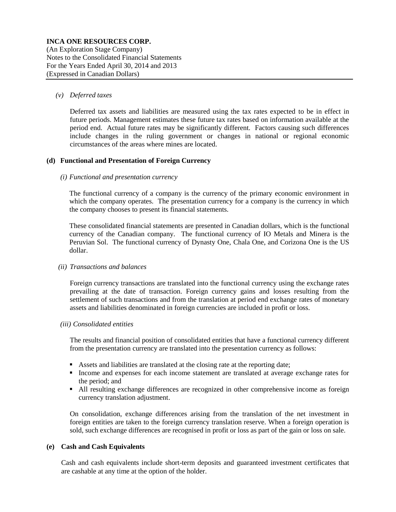(An Exploration Stage Company) Notes to the Consolidated Financial Statements For the Years Ended April 30, 2014 and 2013 (Expressed in Canadian Dollars)

#### *(v) Deferred taxes*

Deferred tax assets and liabilities are measured using the tax rates expected to be in effect in future periods. Management estimates these future tax rates based on information available at the period end. Actual future rates may be significantly different. Factors causing such differences include changes in the ruling government or changes in national or regional economic circumstances of the areas where mines are located.

### **(d) Functional and Presentation of Foreign Currency**

#### *(i) Functional and presentation currency*

The functional currency of a company is the currency of the primary economic environment in which the company operates. The presentation currency for a company is the currency in which the company chooses to present its financial statements.

These consolidated financial statements are presented in Canadian dollars, which is the functional currency of the Canadian company. The functional currency of IO Metals and Minera is the Peruvian Sol. The functional currency of Dynasty One, Chala One, and Corizona One is the US dollar.

#### *(ii) Transactions and balances*

Foreign currency transactions are translated into the functional currency using the exchange rates prevailing at the date of transaction. Foreign currency gains and losses resulting from the settlement of such transactions and from the translation at period end exchange rates of monetary assets and liabilities denominated in foreign currencies are included in profit or loss.

#### *(iii) Consolidated entities*

The results and financial position of consolidated entities that have a functional currency different from the presentation currency are translated into the presentation currency as follows:

- Assets and liabilities are translated at the closing rate at the reporting date;
- Income and expenses for each income statement are translated at average exchange rates for the period; and
- All resulting exchange differences are recognized in other comprehensive income as foreign currency translation adjustment.

On consolidation, exchange differences arising from the translation of the net investment in foreign entities are taken to the foreign currency translation reserve. When a foreign operation is sold, such exchange differences are recognised in profit or loss as part of the gain or loss on sale.

### **(e) Cash and Cash Equivalents**

Cash and cash equivalents include short-term deposits and guaranteed investment certificates that are cashable at any time at the option of the holder.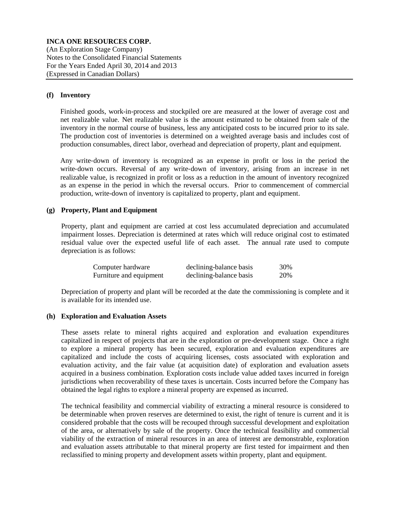(An Exploration Stage Company) Notes to the Consolidated Financial Statements For the Years Ended April 30, 2014 and 2013 (Expressed in Canadian Dollars)

#### **(f) Inventory**

Finished goods, work-in-process and stockpiled ore are measured at the lower of average cost and net realizable value. Net realizable value is the amount estimated to be obtained from sale of the inventory in the normal course of business, less any anticipated costs to be incurred prior to its sale. The production cost of inventories is determined on a weighted average basis and includes cost of production consumables, direct labor, overhead and depreciation of property, plant and equipment.

Any write‐down of inventory is recognized as an expense in profit or loss in the period the write-down occurs. Reversal of any write-down of inventory, arising from an increase in net realizable value, is recognized in profit or loss as a reduction in the amount of inventory recognized as an expense in the period in which the reversal occurs. Prior to commencement of commercial production, write-down of inventory is capitalized to property, plant and equipment.

### **(g) Property, Plant and Equipment**

Property, plant and equipment are carried at cost less accumulated depreciation and accumulated impairment losses. Depreciation is determined at rates which will reduce original cost to estimated residual value over the expected useful life of each asset. The annual rate used to compute depreciation is as follows:

| Computer hardware       | declining-balance basis | 30% |
|-------------------------|-------------------------|-----|
| Furniture and equipment | declining-balance basis | 20% |

Depreciation of property and plant will be recorded at the date the commissioning is complete and it is available for its intended use.

### **(h) Exploration and Evaluation Assets**

These assets relate to mineral rights acquired and exploration and evaluation expenditures capitalized in respect of projects that are in the exploration or pre-development stage. Once a right to explore a mineral property has been secured, exploration and evaluation expenditures are capitalized and include the costs of acquiring licenses, costs associated with exploration and evaluation activity, and the fair value (at acquisition date) of exploration and evaluation assets acquired in a business combination. Exploration costs include value added taxes incurred in foreign jurisdictions when recoverability of these taxes is uncertain. Costs incurred before the Company has obtained the legal rights to explore a mineral property are expensed as incurred.

The technical feasibility and commercial viability of extracting a mineral resource is considered to be determinable when proven reserves are determined to exist, the right of tenure is current and it is considered probable that the costs will be recouped through successful development and exploitation of the area, or alternatively by sale of the property. Once the technical feasibility and commercial viability of the extraction of mineral resources in an area of interest are demonstrable, exploration and evaluation assets attributable to that mineral property are first tested for impairment and then reclassified to mining property and development assets within property, plant and equipment.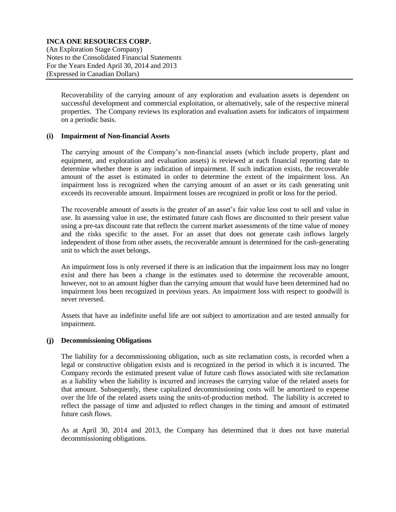(An Exploration Stage Company) Notes to the Consolidated Financial Statements For the Years Ended April 30, 2014 and 2013 (Expressed in Canadian Dollars)

> Recoverability of the carrying amount of any exploration and evaluation assets is dependent on successful development and commercial exploitation, or alternatively, sale of the respective mineral properties. The Company reviews its exploration and evaluation assets for indicators of impairment on a periodic basis.

#### **(i) Impairment of Non-financial Assets**

The carrying amount of the Company's non-financial assets (which include property, plant and equipment, and exploration and evaluation assets) is reviewed at each financial reporting date to determine whether there is any indication of impairment. If such indication exists, the recoverable amount of the asset is estimated in order to determine the extent of the impairment loss. An impairment loss is recognized when the carrying amount of an asset or its cash generating unit exceeds its recoverable amount. Impairment losses are recognized in profit or loss for the period.

The recoverable amount of assets is the greater of an asset's fair value less cost to sell and value in use. In assessing value in use, the estimated future cash flows are discounted to their present value using a pre-tax discount rate that reflects the current market assessments of the time value of money and the risks specific to the asset. For an asset that does not generate cash inflows largely independent of those from other assets, the recoverable amount is determined for the cash-generating unit to which the asset belongs.

An impairment loss is only reversed if there is an indication that the impairment loss may no longer exist and there has been a change in the estimates used to determine the recoverable amount, however, not to an amount higher than the carrying amount that would have been determined had no impairment loss been recognized in previous years. An impairment loss with respect to goodwill is never reversed.

Assets that have an indefinite useful life are not subject to amortization and are tested annually for impairment.

### **(j) Decommissioning Obligations**

The liability for a decommissioning obligation, such as site reclamation costs, is recorded when a legal or constructive obligation exists and is recognized in the period in which it is incurred. The Company records the estimated present value of future cash flows associated with site reclamation as a liability when the liability is incurred and increases the carrying value of the related assets for that amount. Subsequently, these capitalized decommissioning costs will be amortized to expense over the life of the related assets using the units-of-production method. The liability is accreted to reflect the passage of time and adjusted to reflect changes in the timing and amount of estimated future cash flows.

As at April 30, 2014 and 2013, the Company has determined that it does not have material decommissioning obligations.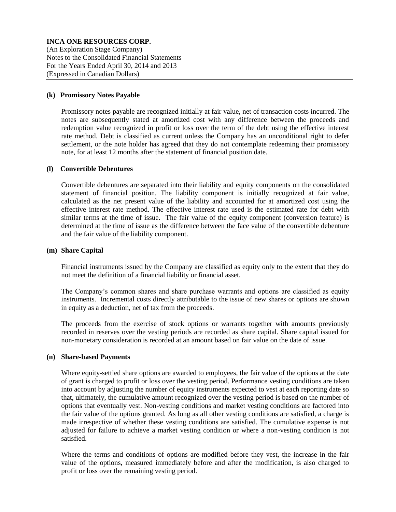(An Exploration Stage Company) Notes to the Consolidated Financial Statements For the Years Ended April 30, 2014 and 2013 (Expressed in Canadian Dollars)

#### **(k) Promissory Notes Payable**

Promissory notes payable are recognized initially at fair value, net of transaction costs incurred. The notes are subsequently stated at amortized cost with any difference between the proceeds and redemption value recognized in profit or loss over the term of the debt using the effective interest rate method. Debt is classified as current unless the Company has an unconditional right to defer settlement, or the note holder has agreed that they do not contemplate redeeming their promissory note, for at least 12 months after the statement of financial position date.

#### **(l) Convertible Debentures**

Convertible debentures are separated into their liability and equity components on the consolidated statement of financial position. The liability component is initially recognized at fair value, calculated as the net present value of the liability and accounted for at amortized cost using the effective interest rate method. The effective interest rate used is the estimated rate for debt with similar terms at the time of issue. The fair value of the equity component (conversion feature) is determined at the time of issue as the difference between the face value of the convertible debenture and the fair value of the liability component.

#### **(m) Share Capital**

Financial instruments issued by the Company are classified as equity only to the extent that they do not meet the definition of a financial liability or financial asset.

The Company's common shares and share purchase warrants and options are classified as equity instruments. Incremental costs directly attributable to the issue of new shares or options are shown in equity as a deduction, net of tax from the proceeds.

The proceeds from the exercise of stock options or warrants together with amounts previously recorded in reserves over the vesting periods are recorded as share capital. Share capital issued for non-monetary consideration is recorded at an amount based on fair value on the date of issue.

#### **(n) Share-based Payments**

Where equity-settled share options are awarded to employees, the fair value of the options at the date of grant is charged to profit or loss over the vesting period. Performance vesting conditions are taken into account by adjusting the number of equity instruments expected to vest at each reporting date so that, ultimately, the cumulative amount recognized over the vesting period is based on the number of options that eventually vest. Non-vesting conditions and market vesting conditions are factored into the fair value of the options granted. As long as all other vesting conditions are satisfied, a charge is made irrespective of whether these vesting conditions are satisfied. The cumulative expense is not adjusted for failure to achieve a market vesting condition or where a non-vesting condition is not satisfied.

Where the terms and conditions of options are modified before they vest, the increase in the fair value of the options, measured immediately before and after the modification, is also charged to profit or loss over the remaining vesting period.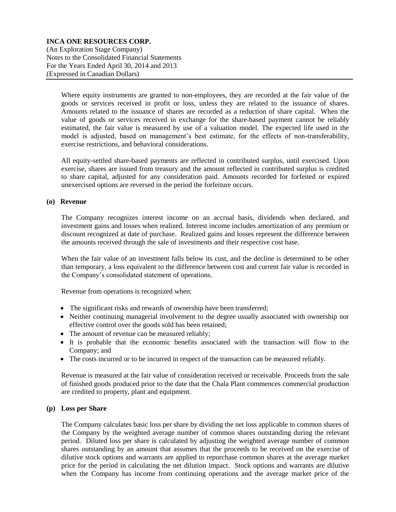(An Exploration Stage Company) Notes to the Consolidated Financial Statements For the Years Ended April 30, 2014 and 2013 (Expressed in Canadian Dollars)

> Where equity instruments are granted to non-employees, they are recorded at the fair value of the goods or services received in profit or loss, unless they are related to the issuance of shares. Amounts related to the issuance of shares are recorded as a reduction of share capital. When the value of goods or services received in exchange for the share-based payment cannot be reliably estimated, the fair value is measured by use of a valuation model. The expected life used in the model is adjusted, based on management's best estimate, for the effects of non-transferability, exercise restrictions, and behavioral considerations.

> All equity-settled share-based payments are reflected in contributed surplus, until exercised. Upon exercise, shares are issued from treasury and the amount reflected in contributed surplus is credited to share capital, adjusted for any consideration paid. Amounts recorded for forfeited or expired unexercised options are reversed in the period the forfeiture occurs.

#### **(o) Revenue**

The Company recognizes interest income on an accrual basis, dividends when declared, and investment gains and losses when realized. Interest income includes amortization of any premium or discount recognized at date of purchase. Realized gains and losses represent the difference between the amounts received through the sale of investments and their respective cost base.

When the fair value of an investment falls below its cost, and the decline is determined to be other than temporary, a loss equivalent to the difference between cost and current fair value is recorded in the Company's consolidated statement of operations.

Revenue from operations is recognized when:

- The significant risks and rewards of ownership have been transferred;
- Neither continuing managerial involvement to the degree usually associated with ownership nor effective control over the goods sold has been retained;
- The amount of revenue can be measured reliably;
- It is probable that the economic benefits associated with the transaction will flow to the Company; and
- The costs incurred or to be incurred in respect of the transaction can be measured reliably.

Revenue is measured at the fair value of consideration received or receivable. Proceeds from the sale of finished goods produced prior to the date that the Chala Plant commences commercial production are credited to property, plant and equipment.

#### **(p) Loss per Share**

The Company calculates basic loss per share by dividing the net loss applicable to common shares of the Company by the weighted average number of common shares outstanding during the relevant period. Diluted loss per share is calculated by adjusting the weighted average number of common shares outstanding by an amount that assumes that the proceeds to be received on the exercise of dilutive stock options and warrants are applied to repurchase common shares at the average market price for the period in calculating the net dilution impact. Stock options and warrants are dilutive when the Company has income from continuing operations and the average market price of the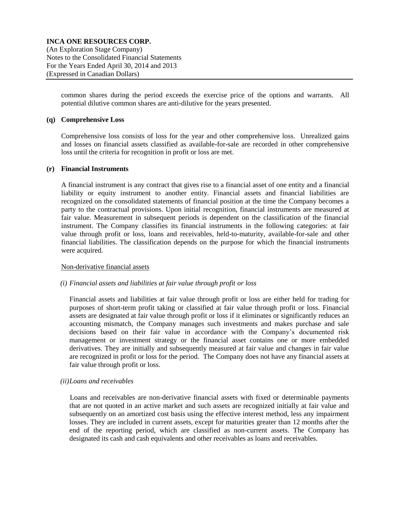(An Exploration Stage Company) Notes to the Consolidated Financial Statements For the Years Ended April 30, 2014 and 2013 (Expressed in Canadian Dollars)

> common shares during the period exceeds the exercise price of the options and warrants. All potential dilutive common shares are anti-dilutive for the years presented.

#### **(q) Comprehensive Loss**

Comprehensive loss consists of loss for the year and other comprehensive loss. Unrealized gains and losses on financial assets classified as available-for-sale are recorded in other comprehensive loss until the criteria for recognition in profit or loss are met.

#### **(r) Financial Instruments**

A financial instrument is any contract that gives rise to a financial asset of one entity and a financial liability or equity instrument to another entity. Financial assets and financial liabilities are recognized on the consolidated statements of financial position at the time the Company becomes a party to the contractual provisions. Upon initial recognition, financial instruments are measured at fair value. Measurement in subsequent periods is dependent on the classification of the financial instrument. The Company classifies its financial instruments in the following categories: at fair value through profit or loss, loans and receivables, held-to-maturity, available-for-sale and other financial liabilities. The classification depends on the purpose for which the financial instruments were acquired.

#### Non-derivative financial assets

### *(i) Financial assets and liabilities at fair value through profit or loss*

Financial assets and liabilities at fair value through profit or loss are either held for trading for purposes of short-term profit taking or classified at fair value through profit or loss. Financial assets are designated at fair value through profit or loss if it eliminates or significantly reduces an accounting mismatch, the Company manages such investments and makes purchase and sale decisions based on their fair value in accordance with the Company's documented risk management or investment strategy or the financial asset contains one or more embedded derivatives. They are initially and subsequently measured at fair value and changes in fair value are recognized in profit or loss for the period. The Company does not have any financial assets at fair value through profit or loss.

#### *(ii)Loans and receivables*

Loans and receivables are non-derivative financial assets with fixed or determinable payments that are not quoted in an active market and such assets are recognized initially at fair value and subsequently on an amortized cost basis using the effective interest method, less any impairment losses. They are included in current assets, except for maturities greater than 12 months after the end of the reporting period, which are classified as non-current assets. The Company has designated its cash and cash equivalents and other receivables as loans and receivables.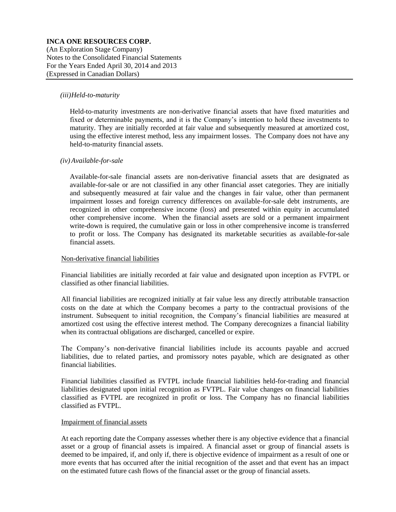(An Exploration Stage Company) Notes to the Consolidated Financial Statements For the Years Ended April 30, 2014 and 2013 (Expressed in Canadian Dollars)

#### *(iii)Held-to-maturity*

Held-to-maturity investments are non-derivative financial assets that have fixed maturities and fixed or determinable payments, and it is the Company's intention to hold these investments to maturity. They are initially recorded at fair value and subsequently measured at amortized cost, using the effective interest method, less any impairment losses. The Company does not have any held-to-maturity financial assets.

#### *(iv) Available-for-sale*

Available-for-sale financial assets are non-derivative financial assets that are designated as available-for-sale or are not classified in any other financial asset categories. They are initially and subsequently measured at fair value and the changes in fair value, other than permanent impairment losses and foreign currency differences on available-for-sale debt instruments, are recognized in other comprehensive income (loss) and presented within equity in accumulated other comprehensive income. When the financial assets are sold or a permanent impairment write-down is required, the cumulative gain or loss in other comprehensive income is transferred to profit or loss. The Company has designated its marketable securities as available-for-sale financial assets.

#### Non-derivative financial liabilities

Financial liabilities are initially recorded at fair value and designated upon inception as FVTPL or classified as other financial liabilities.

All financial liabilities are recognized initially at fair value less any directly attributable transaction costs on the date at which the Company becomes a party to the contractual provisions of the instrument. Subsequent to initial recognition, the Company's financial liabilities are measured at amortized cost using the effective interest method. The Company derecognizes a financial liability when its contractual obligations are discharged, cancelled or expire.

The Company's non-derivative financial liabilities include its accounts payable and accrued liabilities, due to related parties, and promissory notes payable, which are designated as other financial liabilities.

Financial liabilities classified as FVTPL include financial liabilities held-for-trading and financial liabilities designated upon initial recognition as FVTPL. Fair value changes on financial liabilities classified as FVTPL are recognized in profit or loss. The Company has no financial liabilities classified as FVTPL.

#### Impairment of financial assets

At each reporting date the Company assesses whether there is any objective evidence that a financial asset or a group of financial assets is impaired. A financial asset or group of financial assets is deemed to be impaired, if, and only if, there is objective evidence of impairment as a result of one or more events that has occurred after the initial recognition of the asset and that event has an impact on the estimated future cash flows of the financial asset or the group of financial assets.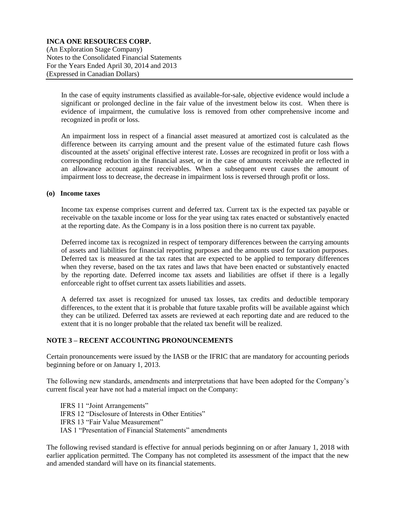(An Exploration Stage Company) Notes to the Consolidated Financial Statements For the Years Ended April 30, 2014 and 2013 (Expressed in Canadian Dollars)

> In the case of equity instruments classified as available-for-sale, objective evidence would include a significant or prolonged decline in the fair value of the investment below its cost. When there is evidence of impairment, the cumulative loss is removed from other comprehensive income and recognized in profit or loss.

> An impairment loss in respect of a financial asset measured at amortized cost is calculated as the difference between its carrying amount and the present value of the estimated future cash flows discounted at the assets' original effective interest rate. Losses are recognized in profit or loss with a corresponding reduction in the financial asset, or in the case of amounts receivable are reflected in an allowance account against receivables. When a subsequent event causes the amount of impairment loss to decrease, the decrease in impairment loss is reversed through profit or loss.

#### **(o) Income taxes**

Income tax expense comprises current and deferred tax. Current tax is the expected tax payable or receivable on the taxable income or loss for the year using tax rates enacted or substantively enacted at the reporting date. As the Company is in a loss position there is no current tax payable.

Deferred income tax is recognized in respect of temporary differences between the carrying amounts of assets and liabilities for financial reporting purposes and the amounts used for taxation purposes. Deferred tax is measured at the tax rates that are expected to be applied to temporary differences when they reverse, based on the tax rates and laws that have been enacted or substantively enacted by the reporting date. Deferred income tax assets and liabilities are offset if there is a legally enforceable right to offset current tax assets liabilities and assets.

A deferred tax asset is recognized for unused tax losses, tax credits and deductible temporary differences, to the extent that it is probable that future taxable profits will be available against which they can be utilized. Deferred tax assets are reviewed at each reporting date and are reduced to the extent that it is no longer probable that the related tax benefit will be realized.

### **NOTE 3 – RECENT ACCOUNTING PRONOUNCEMENTS**

Certain pronouncements were issued by the IASB or the IFRIC that are mandatory for accounting periods beginning before or on January 1, 2013.

The following new standards, amendments and interpretations that have been adopted for the Company's current fiscal year have not had a material impact on the Company:

IFRS 11 "Joint Arrangements" IFRS 12 "Disclosure of Interests in Other Entities" IFRS 13 "Fair Value Measurement" IAS 1 "Presentation of Financial Statements" amendments

The following revised standard is effective for annual periods beginning on or after January 1, 2018 with earlier application permitted. The Company has not completed its assessment of the impact that the new and amended standard will have on its financial statements.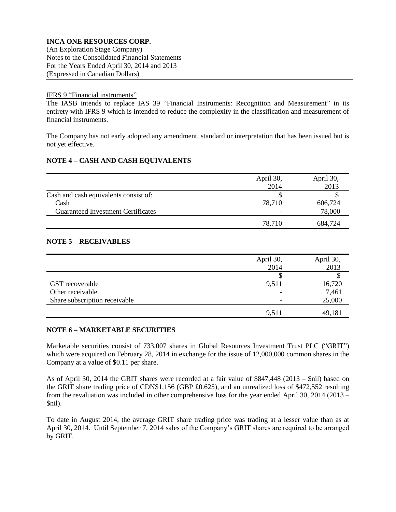(An Exploration Stage Company) Notes to the Consolidated Financial Statements For the Years Ended April 30, 2014 and 2013 (Expressed in Canadian Dollars)

### IFRS 9 "Financial instruments"

The IASB intends to replace IAS 39 "Financial Instruments: Recognition and Measurement" in its entirety with IFRS 9 which is intended to reduce the complexity in the classification and measurement of financial instruments.

The Company has not early adopted any amendment, standard or interpretation that has been issued but is not yet effective.

### **NOTE 4 – CASH AND CASH EQUIVALENTS**

|                                       | April 30, | April 30, |
|---------------------------------------|-----------|-----------|
|                                       | 2014      | 2013      |
| Cash and cash equivalents consist of: |           |           |
| Cash                                  | 78,710    | 606,724   |
| Guaranteed Investment Certificates    |           | 78,000    |
|                                       | 78,710    | 684,724   |

### **NOTE 5 – RECEIVABLES**

|                               | April 30, | April 30, |
|-------------------------------|-----------|-----------|
|                               | 2014      | 2013      |
|                               |           |           |
| GST recoverable               | 9,511     | 16,720    |
| Other receivable              |           | 7,461     |
| Share subscription receivable |           | 25,000    |
|                               | 9.511     | 49,181    |

### **NOTE 6 – MARKETABLE SECURITIES**

Marketable securities consist of 733,007 shares in Global Resources Investment Trust PLC ("GRIT") which were acquired on February 28, 2014 in exchange for the issue of 12,000,000 common shares in the Company at a value of \$0.11 per share.

As of April 30, 2014 the GRIT shares were recorded at a fair value of \$847,448 (2013 – \$nil) based on the GRIT share trading price of CDN\$1.156 (GBP £0.625), and an unrealized loss of \$472,552 resulting from the revaluation was included in other comprehensive loss for the year ended April 30, 2014 (2013 – \$nil).

To date in August 2014, the average GRIT share trading price was trading at a lesser value than as at April 30, 2014. Until September 7, 2014 sales of the Company's GRIT shares are required to be arranged by GRIT.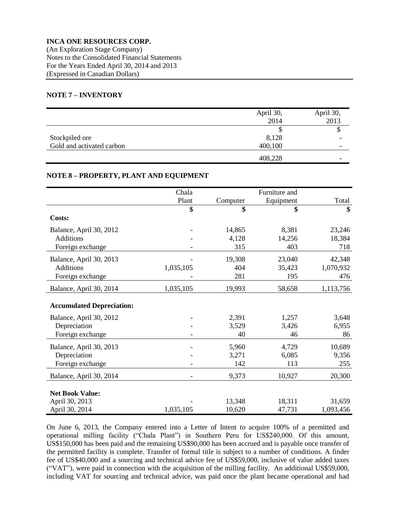(An Exploration Stage Company) Notes to the Consolidated Financial Statements For the Years Ended April 30, 2014 and 2013 (Expressed in Canadian Dollars)

#### **NOTE 7 – INVENTORY**

|                           | April 30, | April 30, |
|---------------------------|-----------|-----------|
|                           | 2014      | 2013      |
|                           |           |           |
| Stockpiled ore            | 8,128     | -         |
| Gold and activated carbon | 400,100   | -         |
|                           | 408,228   |           |

### **NOTE 8 – PROPERTY, PLANT AND EQUIPMENT**

|                                  | Chala     |          | Furniture and |           |
|----------------------------------|-----------|----------|---------------|-----------|
|                                  | Plant     | Computer | Equipment     | Total     |
|                                  | \$        | \$       | \$            | \$        |
| <b>Costs:</b>                    |           |          |               |           |
| Balance, April 30, 2012          |           | 14,865   | 8,381         | 23,246    |
| <b>Additions</b>                 |           | 4,128    | 14,256        | 18,384    |
| Foreign exchange                 |           | 315      | 403           | 718       |
| Balance, April 30, 2013          |           | 19,308   | 23,040        | 42,348    |
| <b>Additions</b>                 | 1,035,105 | 404      | 35,423        | 1,070,932 |
| Foreign exchange                 |           | 281      | 195           | 476       |
| Balance, April 30, 2014          | 1,035,105 | 19,993   | 58,658        | 1,113,756 |
| <b>Accumulated Depreciation:</b> |           |          |               |           |
| Balance, April 30, 2012          |           | 2,391    | 1,257         | 3,648     |
| Depreciation                     |           | 3,529    | 3,426         | 6,955     |
| Foreign exchange                 |           | 40       | 46            | 86        |
| Balance, April 30, 2013          |           | 5,960    | 4,729         | 10,689    |
| Depreciation                     |           | 3,271    | 6,085         | 9,356     |
| Foreign exchange                 |           | 142      | 113           | 255       |
| Balance, April 30, 2014          |           | 9,373    | 10,927        | 20,300    |
| <b>Net Book Value:</b>           |           |          |               |           |
| April 30, 2013                   |           | 13,348   | 18,311        | 31,659    |
| April 30, 2014                   | 1,035,105 | 10,620   | 47,731        | 1,093,456 |

On June 6, 2013, the Company entered into a Letter of Intent to acquire 100% of a permitted and operational milling facility ("Chala Plant") in Southern Peru for US\$240,000. Of this amount, US\$150,000 has been paid and the remaining US\$90,000 has been accrued and is payable once transfer of the permitted facility is complete. Transfer of formal title is subject to a number of conditions. A finder fee of US\$40,000 and a sourcing and technical advice fee of US\$59,000, inclusive of value added taxes ("VAT"), were paid in connection with the acquisition of the milling facility. An additional US\$59,000, including VAT for sourcing and technical advice, was paid once the plant became operational and had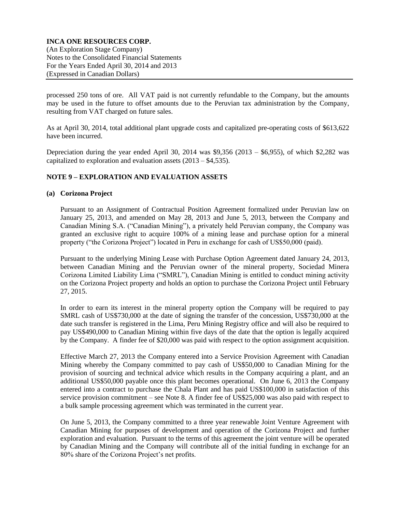(An Exploration Stage Company) Notes to the Consolidated Financial Statements For the Years Ended April 30, 2014 and 2013 (Expressed in Canadian Dollars)

processed 250 tons of ore. All VAT paid is not currently refundable to the Company, but the amounts may be used in the future to offset amounts due to the Peruvian tax administration by the Company, resulting from VAT charged on future sales.

As at April 30, 2014, total additional plant upgrade costs and capitalized pre-operating costs of \$613,622 have been incurred.

Depreciation during the year ended April 30, 2014 was \$9,356 (2013 – \$6,955), of which \$2,282 was capitalized to exploration and evaluation assets (2013 – \$4,535).

### **NOTE 9 – EXPLORATION AND EVALUATION ASSETS**

#### **(a) Corizona Project**

Pursuant to an Assignment of Contractual Position Agreement formalized under Peruvian law on January 25, 2013, and amended on May 28, 2013 and June 5, 2013, between the Company and Canadian Mining S.A. ("Canadian Mining"), a privately held Peruvian company, the Company was granted an exclusive right to acquire 100% of a mining lease and purchase option for a mineral property ("the Corizona Project") located in Peru in exchange for cash of US\$50,000 (paid).

Pursuant to the underlying Mining Lease with Purchase Option Agreement dated January 24, 2013, between Canadian Mining and the Peruvian owner of the mineral property, Sociedad Minera Corizona Limited Liability Lima ("SMRL"), Canadian Mining is entitled to conduct mining activity on the Corizona Project property and holds an option to purchase the Corizona Project until February 27, 2015.

In order to earn its interest in the mineral property option the Company will be required to pay SMRL cash of US\$730,000 at the date of signing the transfer of the concession, US\$730,000 at the date such transfer is registered in the Lima, Peru Mining Registry office and will also be required to pay US\$490,000 to Canadian Mining within five days of the date that the option is legally acquired by the Company. A finder fee of \$20,000 was paid with respect to the option assignment acquisition.

Effective March 27, 2013 the Company entered into a Service Provision Agreement with Canadian Mining whereby the Company committed to pay cash of US\$50,000 to Canadian Mining for the provision of sourcing and technical advice which results in the Company acquiring a plant, and an additional US\$50,000 payable once this plant becomes operational. On June 6, 2013 the Company entered into a contract to purchase the Chala Plant and has paid US\$100,000 in satisfaction of this service provision commitment – see Note 8. A finder fee of US\$25,000 was also paid with respect to a bulk sample processing agreement which was terminated in the current year.

On June 5, 2013, the Company committed to a three year renewable Joint Venture Agreement with Canadian Mining for purposes of development and operation of the Corizona Project and further exploration and evaluation. Pursuant to the terms of this agreement the joint venture will be operated by Canadian Mining and the Company will contribute all of the initial funding in exchange for an 80% share of the Corizona Project's net profits.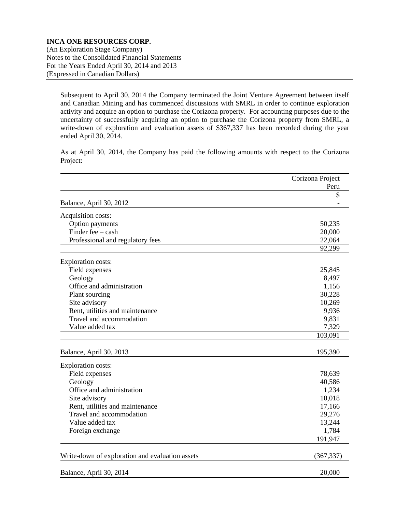(An Exploration Stage Company) Notes to the Consolidated Financial Statements For the Years Ended April 30, 2014 and 2013 (Expressed in Canadian Dollars)

> Subsequent to April 30, 2014 the Company terminated the Joint Venture Agreement between itself and Canadian Mining and has commenced discussions with SMRL in order to continue exploration activity and acquire an option to purchase the Corizona property. For accounting purposes due to the uncertainty of successfully acquiring an option to purchase the Corizona property from SMRL, a write-down of exploration and evaluation assets of \$367,337 has been recorded during the year ended April 30, 2014.

> As at April 30, 2014, the Company has paid the following amounts with respect to the Corizona Project:

|                                                 | Corizona Project |
|-------------------------------------------------|------------------|
|                                                 | Peru             |
|                                                 | \$               |
| Balance, April 30, 2012                         |                  |
| Acquisition costs:                              |                  |
| Option payments                                 | 50,235           |
| Finder fee $-\cosh$                             | 20,000           |
| Professional and regulatory fees                | 22,064           |
|                                                 | 92,299           |
| <b>Exploration costs:</b>                       |                  |
| Field expenses                                  | 25,845           |
| Geology                                         | 8,497            |
| Office and administration                       | 1,156            |
| Plant sourcing                                  | 30,228           |
| Site advisory                                   | 10,269           |
| Rent, utilities and maintenance                 | 9,936            |
| Travel and accommodation                        | 9,831            |
| Value added tax                                 | 7,329            |
|                                                 | 103,091          |
| Balance, April 30, 2013                         | 195,390          |
| <b>Exploration costs:</b>                       |                  |
| Field expenses                                  | 78,639           |
| Geology                                         | 40,586           |
| Office and administration                       | 1,234            |
| Site advisory                                   | 10,018           |
| Rent, utilities and maintenance                 | 17,166           |
| Travel and accommodation                        | 29,276           |
| Value added tax                                 | 13,244           |
| Foreign exchange                                | 1,784            |
|                                                 | 191,947          |
| Write-down of exploration and evaluation assets | (367, 337)       |
| Balance, April 30, 2014                         | 20,000           |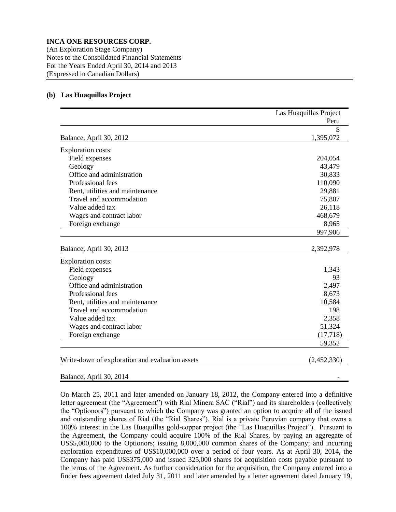(An Exploration Stage Company) Notes to the Consolidated Financial Statements For the Years Ended April 30, 2014 and 2013 (Expressed in Canadian Dollars)

#### **(b) Las Huaquillas Project**

|                                                 | Las Huaquillas Project |
|-------------------------------------------------|------------------------|
|                                                 | Peru                   |
|                                                 | \$                     |
| Balance, April 30, 2012                         | 1,395,072              |
| <b>Exploration costs:</b>                       |                        |
| Field expenses                                  | 204,054                |
| Geology                                         | 43,479                 |
| Office and administration                       | 30,833                 |
| Professional fees                               | 110,090                |
| Rent, utilities and maintenance                 | 29,881                 |
| Travel and accommodation                        | 75,807                 |
| Value added tax                                 | 26,118                 |
| Wages and contract labor                        | 468,679                |
| Foreign exchange                                | 8,965                  |
|                                                 | 997,906                |
| Balance, April 30, 2013                         | 2,392,978              |
| Exploration costs:                              |                        |
| Field expenses                                  | 1,343                  |
| Geology                                         | 93                     |
| Office and administration                       | 2,497                  |
| Professional fees                               | 8,673                  |
| Rent, utilities and maintenance                 | 10,584                 |
| Travel and accommodation                        | 198                    |
| Value added tax                                 | 2,358                  |
| Wages and contract labor                        | 51,324                 |
| Foreign exchange                                | (17, 718)              |
|                                                 | 59,352                 |
| Write-down of exploration and evaluation assets | (2,452,330)            |
|                                                 |                        |

#### Balance, April 30, 2014 -

On March 25, 2011 and later amended on January 18, 2012, the Company entered into a definitive letter agreement (the "Agreement") with Rial Minera SAC ("Rial") and its shareholders (collectively the "Optionors") pursuant to which the Company was granted an option to acquire all of the issued and outstanding shares of Rial (the "Rial Shares"). Rial is a private Peruvian company that owns a 100% interest in the Las Huaquillas gold-copper project (the "Las Huaquillas Project"). Pursuant to the Agreement, the Company could acquire 100% of the Rial Shares, by paying an aggregate of US\$5,000,000 to the Optionors; issuing 8,000,000 common shares of the Company; and incurring exploration expenditures of US\$10,000,000 over a period of four years. As at April 30, 2014, the Company has paid US\$375,000 and issued 325,000 shares for acquisition costs payable pursuant to the terms of the Agreement. As further consideration for the acquisition, the Company entered into a finder fees agreement dated July 31, 2011 and later amended by a letter agreement dated January 19,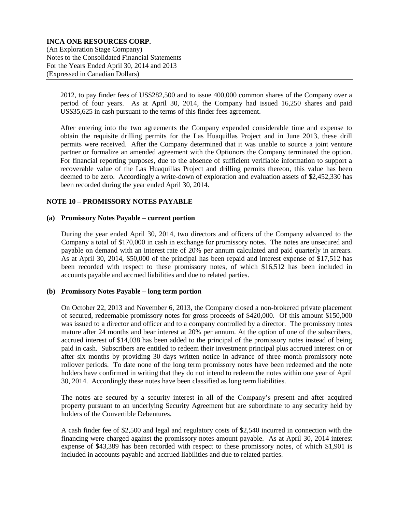(An Exploration Stage Company) Notes to the Consolidated Financial Statements For the Years Ended April 30, 2014 and 2013 (Expressed in Canadian Dollars)

> 2012, to pay finder fees of US\$282,500 and to issue 400,000 common shares of the Company over a period of four years. As at April 30, 2014, the Company had issued 16,250 shares and paid US\$35,625 in cash pursuant to the terms of this finder fees agreement.

> After entering into the two agreements the Company expended considerable time and expense to obtain the requisite drilling permits for the Las Huaquillas Project and in June 2013, these drill permits were received. After the Company determined that it was unable to source a joint venture partner or formalize an amended agreement with the Optionors the Company terminated the option. For financial reporting purposes, due to the absence of sufficient verifiable information to support a recoverable value of the Las Huaquillas Project and drilling permits thereon, this value has been deemed to be zero. Accordingly a write-down of exploration and evaluation assets of \$2,452,330 has been recorded during the year ended April 30, 2014.

### **NOTE 10 – PROMISSORY NOTES PAYABLE**

#### **(a) Promissory Notes Payable – current portion**

During the year ended April 30, 2014, two directors and officers of the Company advanced to the Company a total of \$170,000 in cash in exchange for promissory notes. The notes are unsecured and payable on demand with an interest rate of 20% per annum calculated and paid quarterly in arrears. As at April 30, 2014, \$50,000 of the principal has been repaid and interest expense of \$17,512 has been recorded with respect to these promissory notes, of which \$16,512 has been included in accounts payable and accrued liabilities and due to related parties.

### **(b) Promissory Notes Payable – long term portion**

On October 22, 2013 and November 6, 2013, the Company closed a non-brokered private placement of secured, redeemable promissory notes for gross proceeds of \$420,000. Of this amount \$150,000 was issued to a director and officer and to a company controlled by a director. The promissory notes mature after 24 months and bear interest at 20% per annum. At the option of one of the subscribers, accrued interest of \$14,038 has been added to the principal of the promissory notes instead of being paid in cash. Subscribers are entitled to redeem their investment principal plus accrued interest on or after six months by providing 30 days written notice in advance of three month promissory note rollover periods. To date none of the long term promissory notes have been redeemed and the note holders have confirmed in writing that they do not intend to redeem the notes within one year of April 30, 2014. Accordingly these notes have been classified as long term liabilities.

The notes are secured by a security interest in all of the Company's present and after acquired property pursuant to an underlying Security Agreement but are subordinate to any security held by holders of the Convertible Debentures.

A cash finder fee of \$2,500 and legal and regulatory costs of \$2,540 incurred in connection with the financing were charged against the promissory notes amount payable. As at April 30, 2014 interest expense of \$43,389 has been recorded with respect to these promissory notes, of which \$1,901 is included in accounts payable and accrued liabilities and due to related parties.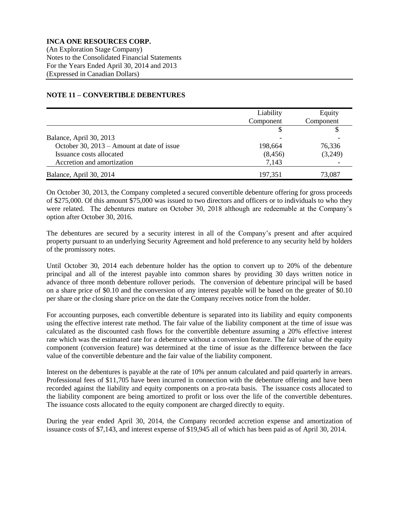|                                            | Liability | Equity    |
|--------------------------------------------|-----------|-----------|
|                                            | Component | Component |
|                                            |           |           |
| Balance, April 30, 2013                    |           |           |
| October 30, 2013 – Amount at date of issue | 198,664   | 76.336    |
| Issuance costs allocated                   | (8, 456)  | (3,249)   |
| Accretion and amortization                 | 7,143     |           |
| Balance, April 30, 2014                    | 197,351   | 73,087    |

### **NOTE 11 – CONVERTIBLE DEBENTURES**

On October 30, 2013, the Company completed a secured convertible debenture offering for gross proceeds of \$275,000. Of this amount \$75,000 was issued to two directors and officers or to individuals to who they were related. The debentures mature on October 30, 2018 although are redeemable at the Company's option after October 30, 2016.

The debentures are secured by a security interest in all of the Company's present and after acquired property pursuant to an underlying Security Agreement and hold preference to any security held by holders of the promissory notes.

Until October 30, 2014 each debenture holder has the option to convert up to 20% of the debenture principal and all of the interest payable into common shares by providing 30 days written notice in advance of three month debenture rollover periods. The conversion of debenture principal will be based on a share price of \$0.10 and the conversion of any interest payable will be based on the greater of \$0.10 per share or the closing share price on the date the Company receives notice from the holder.

For accounting purposes, each convertible debenture is separated into its liability and equity components using the effective interest rate method. The fair value of the liability component at the time of issue was calculated as the discounted cash flows for the convertible debenture assuming a 20% effective interest rate which was the estimated rate for a debenture without a conversion feature. The fair value of the equity component (conversion feature) was determined at the time of issue as the difference between the face value of the convertible debenture and the fair value of the liability component.

Interest on the debentures is payable at the rate of 10% per annum calculated and paid quarterly in arrears. Professional fees of \$11,705 have been incurred in connection with the debenture offering and have been recorded against the liability and equity components on a pro-rata basis. The issuance costs allocated to the liability component are being amortized to profit or loss over the life of the convertible debentures. The issuance costs allocated to the equity component are charged directly to equity.

During the year ended April 30, 2014, the Company recorded accretion expense and amortization of issuance costs of \$7,143, and interest expense of \$19,945 all of which has been paid as of April 30, 2014.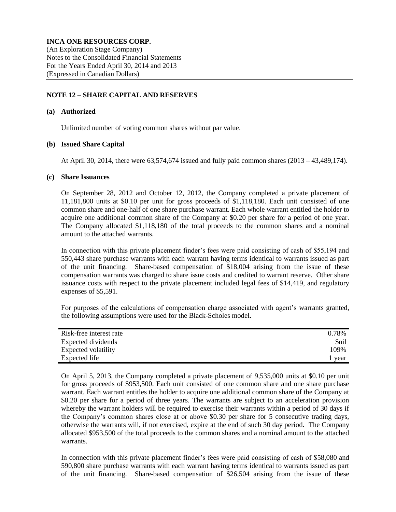### **NOTE 12 – SHARE CAPITAL AND RESERVES**

#### **(a) Authorized**

Unlimited number of voting common shares without par value.

#### **(b) Issued Share Capital**

At April 30, 2014, there were 63,574,674 issued and fully paid common shares (2013 – 43,489,174).

#### **(c) Share Issuances**

On September 28, 2012 and October 12, 2012, the Company completed a private placement of 11,181,800 units at \$0.10 per unit for gross proceeds of \$1,118,180. Each unit consisted of one common share and one-half of one share purchase warrant. Each whole warrant entitled the holder to acquire one additional common share of the Company at \$0.20 per share for a period of one year. The Company allocated \$1,118,180 of the total proceeds to the common shares and a nominal amount to the attached warrants.

In connection with this private placement finder's fees were paid consisting of cash of \$55,194 and 550,443 share purchase warrants with each warrant having terms identical to warrants issued as part of the unit financing. Share-based compensation of \$18,004 arising from the issue of these compensation warrants was charged to share issue costs and credited to warrant reserve. Other share issuance costs with respect to the private placement included legal fees of \$14,419, and regulatory expenses of \$5,591.

For purposes of the calculations of compensation charge associated with agent's warrants granted, the following assumptions were used for the Black-Scholes model.

| Risk-free interest rate | 0.78% |
|-------------------------|-------|
| Expected dividends      | \$ni1 |
| Expected volatility     | 109%  |
| Expected life           | vear  |

On April 5, 2013, the Company completed a private placement of 9,535,000 units at \$0.10 per unit for gross proceeds of \$953,500. Each unit consisted of one common share and one share purchase warrant. Each warrant entitles the holder to acquire one additional common share of the Company at \$0.20 per share for a period of three years. The warrants are subject to an acceleration provision whereby the warrant holders will be required to exercise their warrants within a period of 30 days if the Company's common shares close at or above \$0.30 per share for 5 consecutive trading days, otherwise the warrants will, if not exercised, expire at the end of such 30 day period. The Company allocated \$953,500 of the total proceeds to the common shares and a nominal amount to the attached warrants.

In connection with this private placement finder's fees were paid consisting of cash of \$58,080 and 590,800 share purchase warrants with each warrant having terms identical to warrants issued as part of the unit financing. Share-based compensation of \$26,504 arising from the issue of these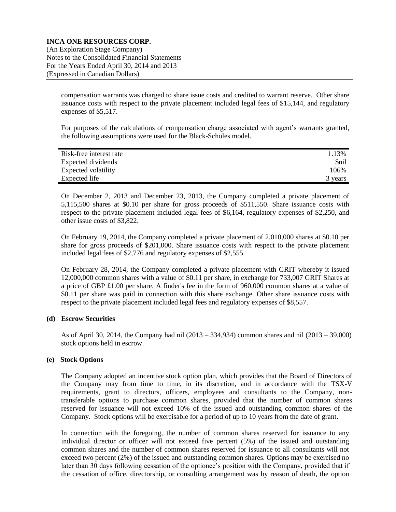(An Exploration Stage Company) Notes to the Consolidated Financial Statements For the Years Ended April 30, 2014 and 2013 (Expressed in Canadian Dollars)

> compensation warrants was charged to share issue costs and credited to warrant reserve. Other share issuance costs with respect to the private placement included legal fees of \$15,144, and regulatory expenses of \$5,517.

> For purposes of the calculations of compensation charge associated with agent's warrants granted, the following assumptions were used for the Black-Scholes model.

| Risk-free interest rate | 1.13%   |
|-------------------------|---------|
| Expected dividends      | Sni1    |
| Expected volatility     | 106%    |
| Expected life           | 3 years |

On December 2, 2013 and December 23, 2013, the Company completed a private placement of 5,115,500 shares at \$0.10 per share for gross proceeds of \$511,550. Share issuance costs with respect to the private placement included legal fees of \$6,164, regulatory expenses of \$2,250, and other issue costs of \$3,822.

On February 19, 2014, the Company completed a private placement of 2,010,000 shares at \$0.10 per share for gross proceeds of \$201,000. Share issuance costs with respect to the private placement included legal fees of \$2,776 and regulatory expenses of \$2,555.

On February 28, 2014, the Company completed a private placement with GRIT whereby it issued 12,000,000 common shares with a value of \$0.11 per share, in exchange for 733,007 GRIT Shares at a price of GBP £1.00 per share. A finder's fee in the form of 960,000 common shares at a value of \$0.11 per share was paid in connection with this share exchange. Other share issuance costs with respect to the private placement included legal fees and regulatory expenses of \$8,557.

### **(d) Escrow Securities**

As of April 30, 2014, the Company had nil (2013 – 334,934) common shares and nil (2013 – 39,000) stock options held in escrow.

#### **(e) Stock Options**

The Company adopted an incentive stock option plan, which provides that the Board of Directors of the Company may from time to time, in its discretion, and in accordance with the TSX-V requirements, grant to directors, officers, employees and consultants to the Company, nontransferable options to purchase common shares, provided that the number of common shares reserved for issuance will not exceed 10% of the issued and outstanding common shares of the Company. Stock options will be exercisable for a period of up to 10 years from the date of grant.

In connection with the foregoing, the number of common shares reserved for issuance to any individual director or officer will not exceed five percent (5%) of the issued and outstanding common shares and the number of common shares reserved for issuance to all consultants will not exceed two percent (2%) of the issued and outstanding common shares. Options may be exercised no later than 30 days following cessation of the optionee's position with the Company, provided that if the cessation of office, directorship, or consulting arrangement was by reason of death, the option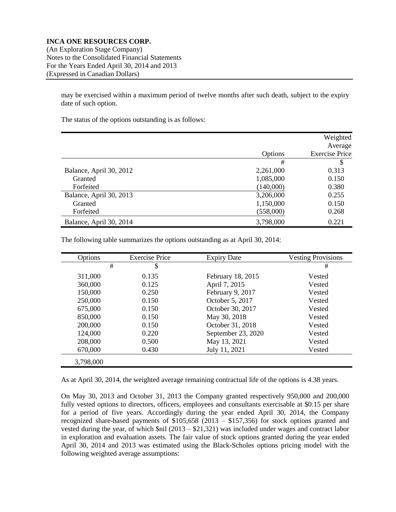(An Exploration Stage Company) Notes to the Consolidated Financial Statements For the Years Ended April 30, 2014 and 2013 (Expressed in Canadian Dollars)

> may be exercised within a maximum period of twelve months after such death, subject to the expiry date of such option.

The status of the options outstanding is as follows:

|                         |           | Weighted<br>Average   |
|-------------------------|-----------|-----------------------|
|                         | Options   | <b>Exercise Price</b> |
|                         | #         | \$                    |
| Balance, April 30, 2012 | 2,261,000 | 0.313                 |
| Granted                 | 1,085,000 | 0.150                 |
| Forfeited               | (140,000) | 0.380                 |
| Balance, April 30, 2013 | 3,206,000 | 0.255                 |
| Granted                 | 1,150,000 | 0.150                 |
| Forfeited               | (558,000) | 0.268                 |
| Balance, April 30, 2014 | 3,798,000 | 0.221                 |

The following table summarizes the options outstanding as at April 30, 2014:

| Options   | <b>Exercise Price</b> | <b>Expiry Date</b> | <b>Vesting Provisions</b> |
|-----------|-----------------------|--------------------|---------------------------|
| #         | \$                    |                    | #                         |
| 311,000   | 0.135                 | February 18, 2015  | Vested                    |
| 360,000   | 0.125                 | April 7, 2015      | Vested                    |
| 150,000   | 0.250                 | February 9, 2017   | Vested                    |
| 250,000   | 0.150                 | October 5, 2017    | Vested                    |
| 675,000   | 0.150                 | October 30, 2017   | Vested                    |
| 850,000   | 0.150                 | May 30, 2018       | Vested                    |
| 200,000   | 0.150                 | October 31, 2018   | Vested                    |
| 124,000   | 0.220                 | September 23, 2020 | Vested                    |
| 208,000   | 0.500                 | May 13, 2021       | Vested                    |
| 670,000   | 0.430                 | July 11, 2021      | Vested                    |
| 3,798,000 |                       |                    |                           |

As at April 30, 2014, the weighted average remaining contractual life of the options is 4.38 years.

On May 30, 2013 and October 31, 2013 the Company granted respectively 950,000 and 200,000 fully vested options to directors, officers, employees and consultants exercisable at \$0.15 per share for a period of five years. Accordingly during the year ended April 30, 2014, the Company recognized share-based payments of \$105,658 (2013 – \$157,356) for stock options granted and vested during the year, of which \$nil (2013 – \$21,321) was included under wages and contract labor in exploration and evaluation assets. The fair value of stock options granted during the year ended April 30, 2014 and 2013 was estimated using the Black-Scholes options pricing model with the following weighted average assumptions: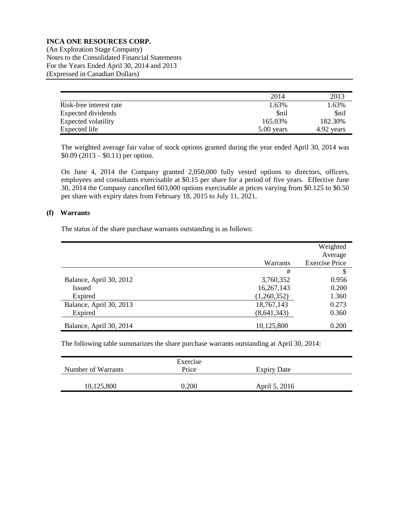(An Exploration Stage Company) Notes to the Consolidated Financial Statements For the Years Ended April 30, 2014 and 2013 (Expressed in Canadian Dollars)

|                         | 2014       | 2013        |
|-------------------------|------------|-------------|
| Risk-free interest rate | 1.63%      | 1.63%       |
| Expected dividends      | \$nil      | <i>Snil</i> |
| Expected volatility     | 165.03%    | 182.30%     |
| Expected life           | 5.00 years | 4.92 years  |

The weighted average fair value of stock options granted during the year ended April 30, 2014 was  $$0.09 (2013 - $0.11)$  per option.

On June 4, 2014 the Company granted 2,050,000 fully vested options to directors, officers, employees and consultants exercisable at \$0.15 per share for a period of five years. Effective June 30, 2014 the Company cancelled 603,000 options exercisable at prices varying from \$0.125 to \$0.50 per share with expiry dates from February 18, 2015 to July 11, 2021.

### **(f) Warrants**

The status of the share purchase warrants outstanding is as follows:

|                         |             | Weighted<br>Average   |
|-------------------------|-------------|-----------------------|
|                         | Warrants    | <b>Exercise Price</b> |
|                         | #           |                       |
| Balance, April 30, 2012 | 3,760,352   | 0.956                 |
| <b>Issued</b>           | 16,267,143  | 0.200                 |
| Expired                 | (1,260,352) | 1.360                 |
| Balance, April 30, 2013 | 18,767,143  | 0.273                 |
| Expired                 | (8,641,343) | 0.360                 |
| Balance, April 30, 2014 | 10,125,800  | 0.200                 |

The following table summarizes the share purchase warrants outstanding at April 30, 2014:

|                    | Exercise |                    |  |
|--------------------|----------|--------------------|--|
| Number of Warrants | Price    | <b>Expiry Date</b> |  |
|                    |          |                    |  |
| 10,125,800         | 0.200    | April 5, 2016      |  |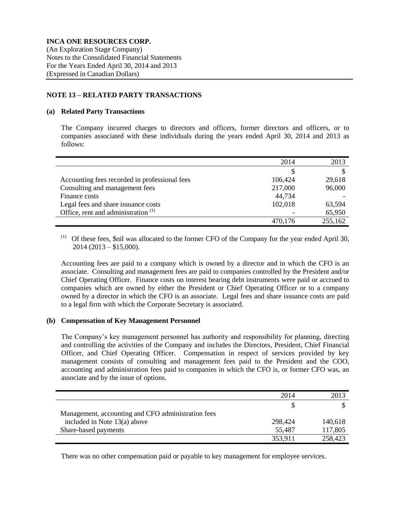(An Exploration Stage Company) Notes to the Consolidated Financial Statements For the Years Ended April 30, 2014 and 2013 (Expressed in Canadian Dollars)

### **NOTE 13 – RELATED PARTY TRANSACTIONS**

#### **(a) Related Party Transactions**

The Company incurred charges to directors and officers, former directors and officers, or to companies associated with these individuals during the years ended April 30, 2014 and 2013 as follows:

|                                                | 2014    | 2013    |
|------------------------------------------------|---------|---------|
|                                                | S       |         |
| Accounting fees recorded in professional fees  | 106,424 | 29,618  |
| Consulting and management fees                 | 217,000 | 96,000  |
| Finance costs                                  | 44,734  |         |
| Legal fees and share issuance costs            | 102,018 | 63,594  |
| Office, rent and administration <sup>(1)</sup> |         | 65,950  |
|                                                | 470.176 | 255,162 |

(1) Of these fees, \$nil was allocated to the former CFO of the Company for the year ended April 30, 2014 (2013 – \$15,000).

Accounting fees are paid to a company which is owned by a director and in which the CFO is an associate. Consulting and management fees are paid to companies controlled by the President and/or Chief Operating Officer. Finance costs on interest bearing debt instruments were paid or accrued to companies which are owned by either the President or Chief Operating Officer or to a company owned by a director in which the CFO is an associate. Legal fees and share issuance costs are paid to a legal firm with which the Corporate Secretary is associated.

#### **(b) Compensation of Key Management Personnel**

The Company's key management personnel has authority and responsibility for planning, directing and controlling the activities of the Company and includes the Directors, President, Chief Financial Officer, and Chief Operating Officer. Compensation in respect of services provided by key management consists of consulting and management fees paid to the President and the COO, accounting and administration fees paid to companies in which the CFO is, or former CFO was, an associate and by the issue of options.

|                                                    | 2014    | 2013    |
|----------------------------------------------------|---------|---------|
|                                                    |         |         |
| Management, accounting and CFO administration fees |         |         |
| included in Note $13(a)$ above                     | 298,424 | 140,618 |
| Share-based payments                               | 55,487  | 117,805 |
|                                                    | 353,911 | 258,423 |

There was no other compensation paid or payable to key management for employee services.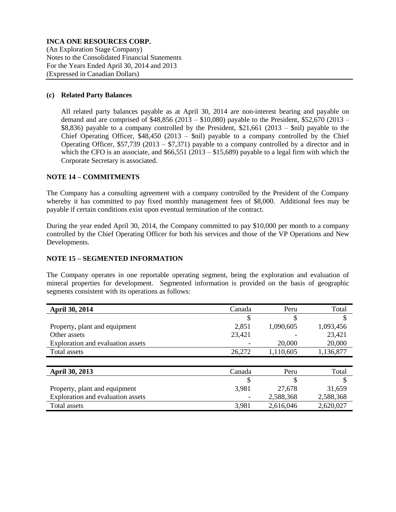(An Exploration Stage Company) Notes to the Consolidated Financial Statements For the Years Ended April 30, 2014 and 2013 (Expressed in Canadian Dollars)

#### **(c) Related Party Balances**

All related party balances payable as at April 30, 2014 are non-interest bearing and payable on demand and are comprised of \$48,856 (2013 – \$10,080) payable to the President, \$52,670 (2013 – \$8,836) payable to a company controlled by the President, \$21,661 (2013 – \$nil) payable to the Chief Operating Officer,  $$48,450$  (2013 –  $$nil$ ) payable to a company controlled by the Chief Operating Officer, \$57,739 (2013 – \$7,371) payable to a company controlled by a director and in which the CFO is an associate, and  $$66,551$  (2013 – \$15,689) payable to a legal firm with which the Corporate Secretary is associated.

### **NOTE 14 – COMMITMENTS**

The Company has a consulting agreement with a company controlled by the President of the Company whereby it has committed to pay fixed monthly management fees of \$8,000. Additional fees may be payable if certain conditions exist upon eventual termination of the contract.

During the year ended April 30, 2014, the Company committed to pay \$10,000 per month to a company controlled by the Chief Operating Officer for both his services and those of the VP Operations and New Developments.

### **NOTE 15 – SEGMENTED INFORMATION**

The Company operates in one reportable operating segment, being the exploration and evaluation of mineral properties for development. Segmented information is provided on the basis of geographic segments consistent with its operations as follows:

| April 30, 2014                    | Canada | Peru      | Total     |
|-----------------------------------|--------|-----------|-----------|
|                                   | \$     | \$        | \$        |
| Property, plant and equipment     | 2,851  | 1,090,605 | 1,093,456 |
| Other assets                      | 23,421 |           | 23,421    |
| Exploration and evaluation assets |        | 20,000    | 20,000    |
| Total assets                      | 26,272 | 1,110,605 | 1,136,877 |
|                                   |        |           |           |
| <b>April 30, 2013</b>             | Canada | Peru      | Total     |
|                                   | \$     | \$        | \$        |
| Property, plant and equipment     | 3,981  | 27,678    | 31,659    |
| Exploration and evaluation assets |        | 2,588,368 | 2,588,368 |
| Total assets                      | 3,981  | 2,616,046 | 2,620,027 |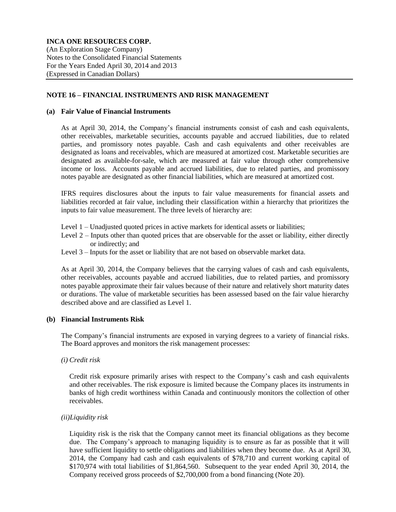(An Exploration Stage Company) Notes to the Consolidated Financial Statements For the Years Ended April 30, 2014 and 2013 (Expressed in Canadian Dollars)

#### **NOTE 16 – FINANCIAL INSTRUMENTS AND RISK MANAGEMENT**

#### **(a) Fair Value of Financial Instruments**

As at April 30, 2014, the Company's financial instruments consist of cash and cash equivalents, other receivables, marketable securities, accounts payable and accrued liabilities, due to related parties, and promissory notes payable. Cash and cash equivalents and other receivables are designated as loans and receivables, which are measured at amortized cost. Marketable securities are designated as available-for-sale, which are measured at fair value through other comprehensive income or loss. Accounts payable and accrued liabilities, due to related parties, and promissory notes payable are designated as other financial liabilities, which are measured at amortized cost.

IFRS requires disclosures about the inputs to fair value measurements for financial assets and liabilities recorded at fair value, including their classification within a hierarchy that prioritizes the inputs to fair value measurement. The three levels of hierarchy are:

Level 1 – Unadjusted quoted prices in active markets for identical assets or liabilities;

- Level 2 Inputs other than quoted prices that are observable for the asset or liability, either directly or indirectly; and
- Level 3 Inputs for the asset or liability that are not based on observable market data.

As at April 30, 2014, the Company believes that the carrying values of cash and cash equivalents, other receivables, accounts payable and accrued liabilities, due to related parties, and promissory notes payable approximate their fair values because of their nature and relatively short maturity dates or durations. The value of marketable securities has been assessed based on the fair value hierarchy described above and are classified as Level 1.

### **(b) Financial Instruments Risk**

The Company's financial instruments are exposed in varying degrees to a variety of financial risks. The Board approves and monitors the risk management processes:

*(i) Credit risk*

Credit risk exposure primarily arises with respect to the Company's cash and cash equivalents and other receivables. The risk exposure is limited because the Company places its instruments in banks of high credit worthiness within Canada and continuously monitors the collection of other receivables.

#### *(ii)Liquidity risk*

Liquidity risk is the risk that the Company cannot meet its financial obligations as they become due. The Company's approach to managing liquidity is to ensure as far as possible that it will have sufficient liquidity to settle obligations and liabilities when they become due. As at April 30, 2014, the Company had cash and cash equivalents of \$78,710 and current working capital of \$170,974 with total liabilities of \$1,864,560. Subsequent to the year ended April 30, 2014, the Company received gross proceeds of \$2,700,000 from a bond financing (Note 20).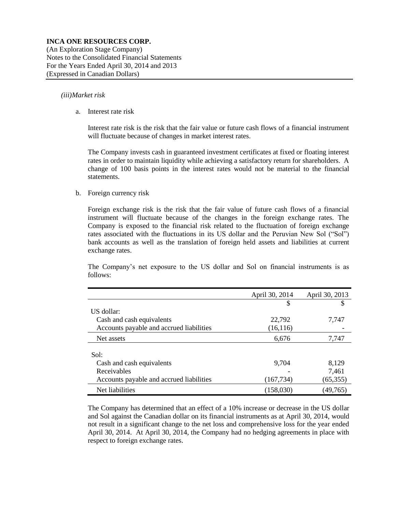(An Exploration Stage Company) Notes to the Consolidated Financial Statements For the Years Ended April 30, 2014 and 2013 (Expressed in Canadian Dollars)

#### *(iii)Market risk*

a. Interest rate risk

Interest rate risk is the risk that the fair value or future cash flows of a financial instrument will fluctuate because of changes in market interest rates.

The Company invests cash in guaranteed investment certificates at fixed or floating interest rates in order to maintain liquidity while achieving a satisfactory return for shareholders. A change of 100 basis points in the interest rates would not be material to the financial statements.

#### b. Foreign currency risk

Foreign exchange risk is the risk that the fair value of future cash flows of a financial instrument will fluctuate because of the changes in the foreign exchange rates. The Company is exposed to the financial risk related to the fluctuation of foreign exchange rates associated with the fluctuations in its US dollar and the Peruvian New Sol ("Sol") bank accounts as well as the translation of foreign held assets and liabilities at current exchange rates.

The Company's net exposure to the US dollar and Sol on financial instruments is as follows:

|                                          | April 30, 2014 | April 30, 2013 |
|------------------------------------------|----------------|----------------|
|                                          | S              | S              |
| US dollar:                               |                |                |
| Cash and cash equivalents                | 22,792         | 7,747          |
| Accounts payable and accrued liabilities | (16, 116)      |                |
| Net assets                               | 6.676          | 7,747          |
|                                          |                |                |
| Sol:                                     |                |                |
| Cash and cash equivalents                | 9,704          | 8,129          |
| Receivables                              |                | 7,461          |
| Accounts payable and accrued liabilities | (167, 734)     | (65, 355)      |
| Net liabilities                          | (158,030)      | (49, 765)      |

The Company has determined that an effect of a 10% increase or decrease in the US dollar and Sol against the Canadian dollar on its financial instruments as at April 30, 2014, would not result in a significant change to the net loss and comprehensive loss for the year ended April 30, 2014. At April 30, 2014, the Company had no hedging agreements in place with respect to foreign exchange rates.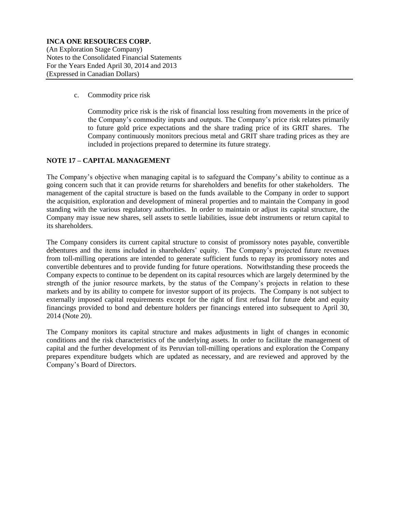c. Commodity price risk

Commodity price risk is the risk of financial loss resulting from movements in the price of the Company's commodity inputs and outputs. The Company's price risk relates primarily to future gold price expectations and the share trading price of its GRIT shares. The Company continuously monitors precious metal and GRIT share trading prices as they are included in projections prepared to determine its future strategy.

### **NOTE 17 – CAPITAL MANAGEMENT**

The Company's objective when managing capital is to safeguard the Company's ability to continue as a going concern such that it can provide returns for shareholders and benefits for other stakeholders. The management of the capital structure is based on the funds available to the Company in order to support the acquisition, exploration and development of mineral properties and to maintain the Company in good standing with the various regulatory authorities. In order to maintain or adjust its capital structure, the Company may issue new shares, sell assets to settle liabilities, issue debt instruments or return capital to its shareholders.

The Company considers its current capital structure to consist of promissory notes payable, convertible debentures and the items included in shareholders' equity. The Company's projected future revenues from toll-milling operations are intended to generate sufficient funds to repay its promissory notes and convertible debentures and to provide funding for future operations. Notwithstanding these proceeds the Company expects to continue to be dependent on its capital resources which are largely determined by the strength of the junior resource markets, by the status of the Company's projects in relation to these markets and by its ability to compete for investor support of its projects. The Company is not subject to externally imposed capital requirements except for the right of first refusal for future debt and equity financings provided to bond and debenture holders per financings entered into subsequent to April 30, 2014 (Note 20).

The Company monitors its capital structure and makes adjustments in light of changes in economic conditions and the risk characteristics of the underlying assets. In order to facilitate the management of capital and the further development of its Peruvian toll-milling operations and exploration the Company prepares expenditure budgets which are updated as necessary, and are reviewed and approved by the Company's Board of Directors.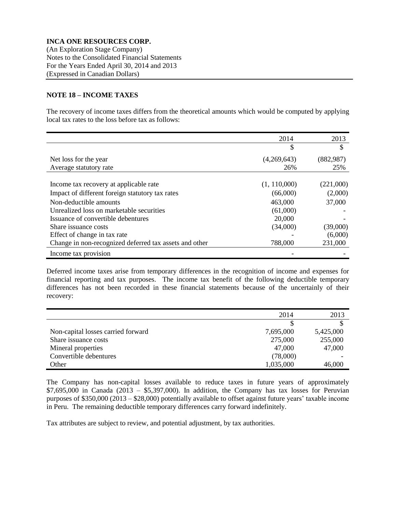(An Exploration Stage Company) Notes to the Consolidated Financial Statements For the Years Ended April 30, 2014 and 2013 (Expressed in Canadian Dollars)

#### **NOTE 18 – INCOME TAXES**

The recovery of income taxes differs from the theoretical amounts which would be computed by applying local tax rates to the loss before tax as follows:

|                                                        | 2014         | 2013      |
|--------------------------------------------------------|--------------|-----------|
|                                                        | \$           | \$        |
| Net loss for the year                                  | (4,269,643)  | (882,987) |
| Average statutory rate                                 | 26%          | 25%       |
|                                                        |              |           |
| Income tax recovery at applicable rate                 | (1, 110,000) | (221,000) |
| Impact of different foreign statutory tax rates        | (66,000)     | (2,000)   |
| Non-deductible amounts                                 | 463,000      | 37,000    |
| Unrealized loss on marketable securities               | (61,000)     |           |
| Issuance of convertible debentures                     | 20,000       |           |
| Share issuance costs                                   | (34,000)     | (39,000)  |
| Effect of change in tax rate                           |              | (6,000)   |
| Change in non-recognized deferred tax assets and other | 788,000      | 231,000   |
| Income tax provision                                   |              |           |

Deferred income taxes arise from temporary differences in the recognition of income and expenses for financial reporting and tax purposes. The income tax benefit of the following deductible temporary differences has not been recorded in these financial statements because of the uncertainly of their recovery:

|                                    | 2014      | 2013      |
|------------------------------------|-----------|-----------|
|                                    |           |           |
| Non-capital losses carried forward | 7,695,000 | 5,425,000 |
| Share issuance costs               | 275,000   | 255,000   |
| Mineral properties                 | 47,000    | 47,000    |
| Convertible debentures             | (78,000)  |           |
| Other                              | 1,035,000 | 46,000    |

The Company has non-capital losses available to reduce taxes in future years of approximately  $$7,695,000$  in Canada (2013 – \$5,397,000). In addition, the Company has tax losses for Peruvian purposes of \$350,000 (2013 – \$28,000) potentially available to offset against future years' taxable income in Peru. The remaining deductible temporary differences carry forward indefinitely.

Tax attributes are subject to review, and potential adjustment, by tax authorities.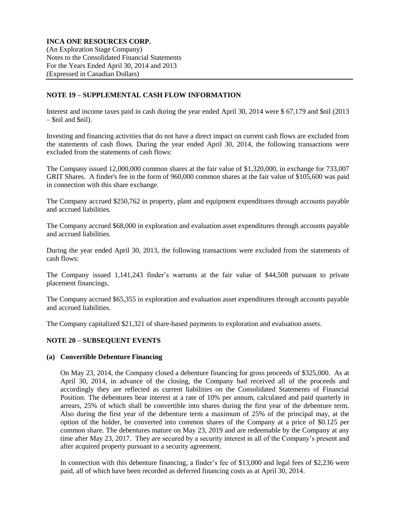**INCA ONE RESOURCES CORP.** (An Exploration Stage Company) Notes to the Consolidated Financial Statements For the Years Ended April 30, 2014 and 2013 (Expressed in Canadian Dollars)

#### **NOTE 19 – SUPPLEMENTAL CASH FLOW INFORMATION**

Interest and income taxes paid in cash during the year ended April 30, 2014 were \$ 67,179 and \$nil (2013 – \$nil and \$nil).

Investing and financing activities that do not have a direct impact on current cash flows are excluded from the statements of cash flows. During the year ended April 30, 2014, the following transactions were excluded from the statements of cash flows:

The Company issued 12,000,000 common shares at the fair value of \$1,320,000, in exchange for 733,007 GRIT Shares. A finder's fee in the form of 960,000 common shares at the fair value of \$105,600 was paid in connection with this share exchange.

The Company accrued \$250,762 in property, plant and equipment expenditures through accounts payable and accrued liabilities.

The Company accrued \$68,000 in exploration and evaluation asset expenditures through accounts payable and accrued liabilities.

During the year ended April 30, 2013, the following transactions were excluded from the statements of cash flows:

The Company issued 1,141,243 finder's warrants at the fair value of \$44,508 pursuant to private placement financings.

The Company accrued \$65,355 in exploration and evaluation asset expenditures through accounts payable and accrued liabilities.

The Company capitalized \$21,321 of share-based payments to exploration and evaluation assets.

#### **NOTE 20 – SUBSEQUENT EVENTS**

#### **(a) Convertible Debenture Financing**

On May 23, 2014, the Company closed a debenture financing for gross proceeds of \$325,000. As at April 30, 2014, in advance of the closing, the Company had received all of the proceeds and accordingly they are reflected as current liabilities on the Consolidated Statements of Financial Position. The debentures bear interest at a rate of 10% per annum, calculated and paid quarterly in arrears, 25% of which shall be convertible into shares during the first year of the debenture term. Also during the first year of the debenture term a maximum of 25% of the principal may, at the option of the holder, be converted into common shares of the Company at a price of \$0.125 per common share. The debentures mature on May 23, 2019 and are redeemable by the Company at any time after May 23, 2017. They are secured by a security interest in all of the Company's present and after acquired property pursuant to a security agreement.

In connection with this debenture financing, a finder's fee of \$13,000 and legal fees of \$2,236 were paid, all of which have been recorded as deferred financing costs as at April 30, 2014.